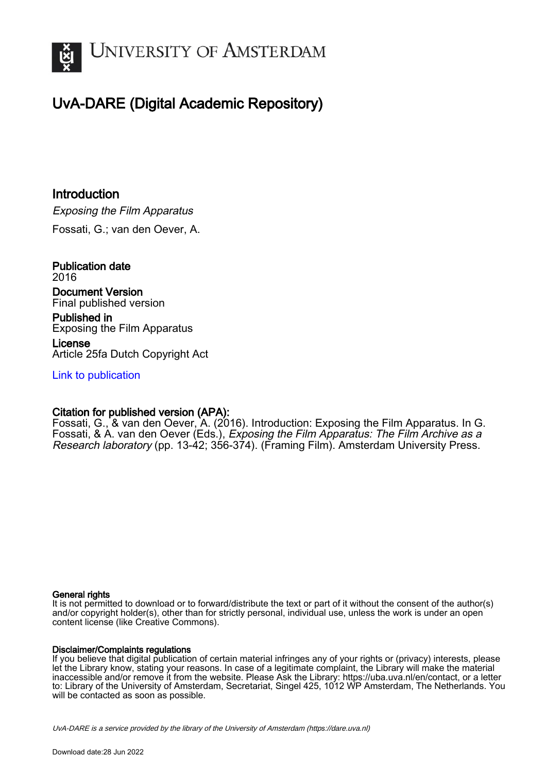

# UvA-DARE (Digital Academic Repository)

**Introduction** Exposing the Film Apparatus Fossati, G.; van den Oever, A.

Publication date 2016 Document Version Final published version

Published in Exposing the Film Apparatus

License Article 25fa Dutch Copyright Act

[Link to publication](https://dare.uva.nl/personal/pure/en/publications/introduction(eda052ef-ec39-4df1-84f8-90bdae497839).html)

## Citation for published version (APA):

Fossati, G., & van den Oever, A. (2016). Introduction: Exposing the Film Apparatus. In G. Fossati, & A. van den Oever (Eds.), Exposing the Film Apparatus: The Film Archive as a Research laboratory (pp. 13-42; 356-374). (Framing Film). Amsterdam University Press.

#### General rights

It is not permitted to download or to forward/distribute the text or part of it without the consent of the author(s) and/or copyright holder(s), other than for strictly personal, individual use, unless the work is under an open content license (like Creative Commons).

#### Disclaimer/Complaints regulations

If you believe that digital publication of certain material infringes any of your rights or (privacy) interests, please let the Library know, stating your reasons. In case of a legitimate complaint, the Library will make the material inaccessible and/or remove it from the website. Please Ask the Library: https://uba.uva.nl/en/contact, or a letter to: Library of the University of Amsterdam, Secretariat, Singel 425, 1012 WP Amsterdam, The Netherlands. You will be contacted as soon as possible.

UvA-DARE is a service provided by the library of the University of Amsterdam (http*s*://dare.uva.nl)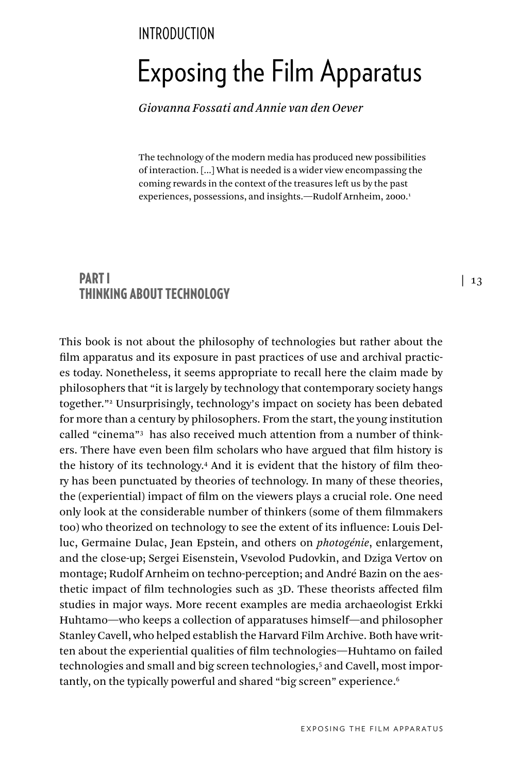## **INTRODUCTION**

# Exposing the Film Apparatus

*Giovanna Fossati and Annie van den Oever*

The technology of the modern media has produced new possibilities of interaction. [...] What is needed is a wider view encompassing the coming rewards in the context of the treasures left us by the past experiences, possessions, and insights.—Rudolf Arnheim, 2000.<sup>1</sup>

## PART I THINKING ABOUT TECHNOLOGY

This book is not about the philosophy of technologies but rather about the film apparatus and its exposure in past practices of use and archival practices today. Nonetheless, it seems appropriate to recall here the claim made by philosophers that "it is largely by technology that contemporary society hangs together."2 Unsurprisingly, technology's impact on society has been debated for more than a century by philosophers. From the start, the young institution called "cinema"3 has also received much attention from a number of thinkers. There have even been film scholars who have argued that film history is the history of its technology.<sup>4</sup> And it is evident that the history of film theory has been punctuated by theories of technology. In many of these theories, the (experiential) impact of film on the viewers plays a crucial role. One need only look at the considerable number of thinkers (some of them filmmakers too) who theorized on technology to see the extent of its influence: Louis Delluc, Germaine Dulac, Jean Epstein, and others on *photogénie*, enlargement, and the close-up; Sergei Eisenstein, Vsevolod Pudovkin, and Dziga Vertov on montage; Rudolf Arnheim on techno-perception; and André Bazin on the aesthetic impact of film technologies such as 3D. These theorists affected film studies in major ways. More recent examples are media archaeologist Erkki Huhtamo—who keeps a collection of apparatuses himself—and philosopher Stanley Cavell, who helped establish the Harvard Film Archive. Both have written about the experiential qualities of film technologies—Huhtamo on failed technologies and small and big screen technologies,<sup>5</sup> and Cavell, most importantly, on the typically powerful and shared "big screen" experience.<sup>6</sup>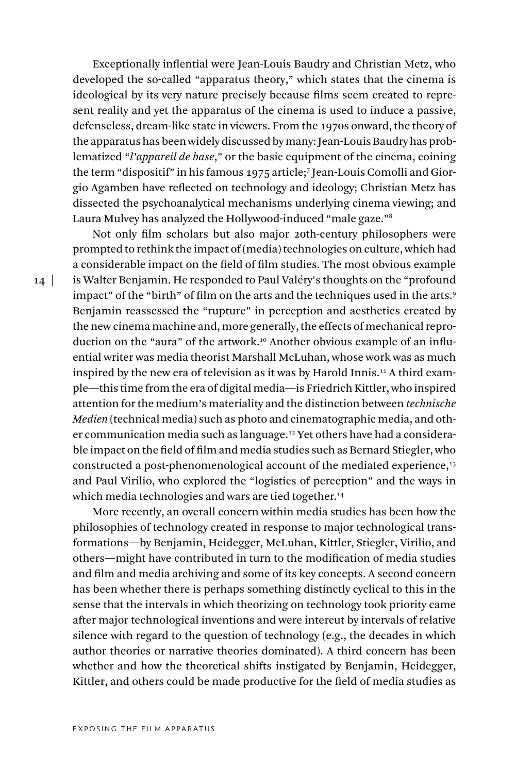Exceptionally inflential were Jean-Louis Baudry and Christian Metz, who developed the so-called "apparatus theory," which states that the cinema is ideological by its very nature precisely because films seem created to represent reality and yet the apparatus of the cinema is used to induce a passive, defenseless, dream-like state in viewers. From the 1970s onward, the theory of the apparatus has been widely discussed by many: Jean-Louis Baudry has problematized "*l'appareil de base*," or the basic equipment of the cinema, coining the term "dispositif" in his famous 1975 article;7 Jean-Louis Comolli and Giorgio Agamben have reflected on technology and ideology; Christian Metz has dissected the psychoanalytical mechanisms underlying cinema viewing; and Laura Mulvey has analyzed the Hollywood-induced "male gaze."8

Not only film scholars but also major 20th-century philosophers were prompted to rethink the impact of (media) technologies on culture, which had a considerable impact on the field of film studies. The most obvious example is Walter Benjamin. He responded to Paul Valéry's thoughts on the "profound impact" of the "birth" of film on the arts and the techniques used in the arts.9 Benjamin reassessed the "rupture" in perception and aesthetics created by the new cinema machine and, more generally, the effects of mechanical reproduction on the "aura" of the artwork.<sup>10</sup> Another obvious example of an influential writer was media theorist Marshall McLuhan, whose work was as much inspired by the new era of television as it was by Harold Innis. 11 A third example—this time from the era of digital media—is Friedrich Kittler, who inspired attention for the medium's materiality and the distinction between *technische Medien* (technical media) such as photo and cinematographic media, and other communication media such as language.<sup>12</sup> Yet others have had a considerable impact on the field of film and media studies such as Bernard Stiegler, who constructed a post-phenomenological account of the mediated experience,<sup>13</sup> and Paul Virilio, who explored the "logistics of perception" and the ways in which media technologies and wars are tied together.<sup>14</sup>

More recently, an overall concern within media studies has been how the philosophies of technology created in response to major technological transformations—by Benjamin, Heidegger, McLuhan, Kittler, Stiegler, Virilio, and others—might have contributed in turn to the modification of media studies and film and media archiving and some of its key concepts. A second concern has been whether there is perhaps something distinctly cyclical to this in the sense that the intervals in which theorizing on technology took priority came after major technological inventions and were intercut by intervals of relative silence with regard to the question of technology (e.g., the decades in which author theories or narrative theories dominated). A third concern has been whether and how the theoretical shifts instigated by Benjamin, Heidegger, Kittler, and others could be made productive for the field of media studies as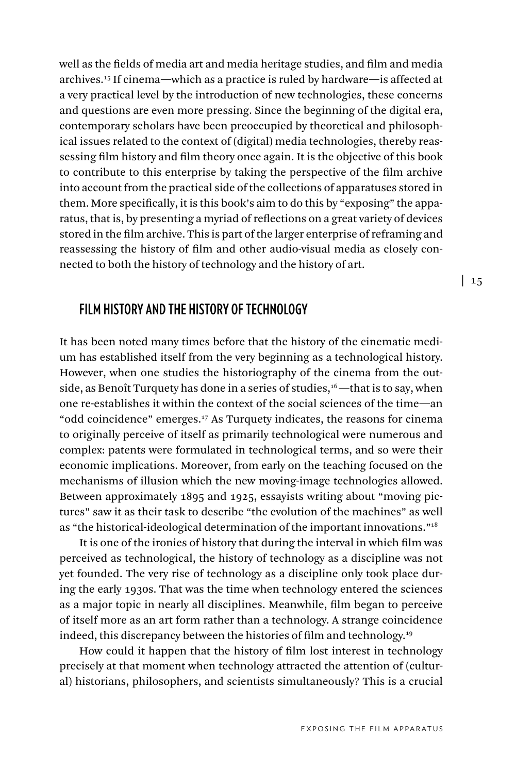well as the fields of media art and media heritage studies, and film and media archives.15 If cinema—which as a practice is ruled by hardware—is affected at a very practical level by the introduction of new technologies, these concerns and questions are even more pressing. Since the beginning of the digital era, contemporary scholars have been preoccupied by theoretical and philosophical issues related to the context of (digital) media technologies, thereby reassessing film history and film theory once again. It is the objective of this book to contribute to this enterprise by taking the perspective of the film archive into account from the practical side of the collections of apparatuses stored in them. More specifically, it is this book's aim to do this by "exposing" the apparatus, that is, by presenting a myriad of reflections on a great variety of devices stored in the film archive. This is part of the larger enterprise of reframing and reassessing the history of film and other audio-visual media as closely connected to both the history of technology and the history of art.

#### **FILM HISTORY AND THE HISTORY OF TECHNOLOGY**

It has been noted many times before that the history of the cinematic medium has established itself from the very beginning as a technological history. However, when one studies the historiography of the cinema from the outside, as Benoît Turquety has done in a series of studies, $16$  —that is to say, when one re-establishes it within the context of the social sciences of the time—an "odd coincidence" emerges.17 As Turquety indicates, the reasons for cinema to originally perceive of itself as primarily technological were numerous and complex: patents were formulated in technological terms, and so were their economic implications. Moreover, from early on the teaching focused on the mechanisms of illusion which the new moving-image technologies allowed. Between approximately 1895 and 1925, essayists writing about "moving pictures" saw it as their task to describe "the evolution of the machines" as well as "the historical-ideological determination of the important innovations."18

It is one of the ironies of history that during the interval in which film was perceived as technological, the history of technology as a discipline was not yet founded. The very rise of technology as a discipline only took place during the early 1930s. That was the time when technology entered the sciences as a major topic in nearly all disciplines. Meanwhile, film began to perceive of itself more as an art form rather than a technology. A strange coincidence indeed, this discrepancy between the histories of film and technology.19

How could it happen that the history of film lost interest in technology precisely at that moment when technology attracted the attention of (cultural) historians, philosophers, and scientists simultaneously? This is a crucial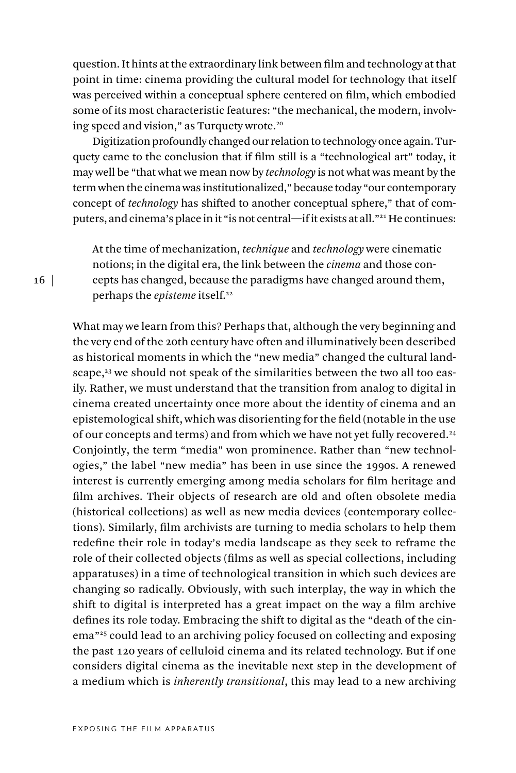question. It hints at the extraordinary link between film and technology at that point in time: cinema providing the cultural model for technology that itself was perceived within a conceptual sphere centered on film, which embodied some of its most characteristic features: "the mechanical, the modern, involving speed and vision," as Turquety wrote.<sup>20</sup>

Digitization profoundly changed our relation to technology once again. Turquety came to the conclusion that if film still is a "technological art" today, it may well be "that what we mean now by *technology* is not what was meant by the term when the cinema was institutionalized," because today "our contemporary concept of *technology* has shifted to another conceptual sphere," that of computers, and cinema's place in it "is not central—if it exists at all."<sup>21</sup> He continues:

At the time of mechanization, *technique* and *technology* were cinematic notions; in the digital era, the link between the *cinema* and those concepts has changed, because the paradigms have changed around them, perhaps the *episteme* itself.<sup>22</sup>

What may we learn from this? Perhaps that, although the very beginning and the very end of the 20th century have often and illuminatively been described as historical moments in which the "new media" changed the cultural landscape,<sup>23</sup> we should not speak of the similarities between the two all too easily. Rather, we must understand that the transition from analog to digital in cinema created uncertainty once more about the identity of cinema and an epistemological shift, which was disorienting for the field (notable in the use of our concepts and terms) and from which we have not yet fully recovered.<sup>24</sup> Conjointly, the term "media" won prominence. Rather than "new technologies," the label "new media" has been in use since the 1990s. A renewed interest is currently emerging among media scholars for film heritage and film archives. Their objects of research are old and often obsolete media (historical collections) as well as new media devices (contemporary collections). Similarly, film archivists are turning to media scholars to help them redefine their role in today's media landscape as they seek to reframe the role of their collected objects (films as well as special collections, including apparatuses) in a time of technological transition in which such devices are changing so radically. Obviously, with such interplay, the way in which the shift to digital is interpreted has a great impact on the way a film archive defines its role today. Embracing the shift to digital as the "death of the cinema"25 could lead to an archiving policy focused on collecting and exposing the past 120 years of celluloid cinema and its related technology. But if one considers digital cinema as the inevitable next step in the development of a medium which is *inherently transitional*, this may lead to a new archiving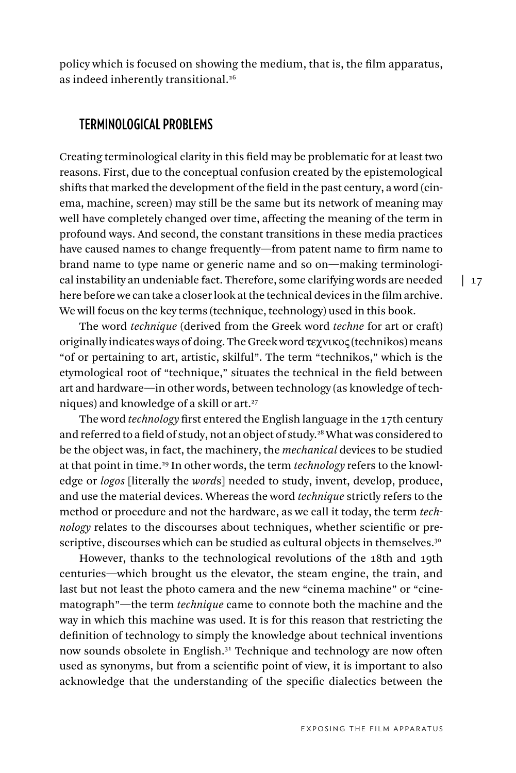policy which is focused on showing the medium, that is, the film apparatus, as indeed inherently transitional.<sup>26</sup>

#### **TERMINOLOGICAL PROBLEMS**

Creating terminological clarity in this field may be problematic for at least two reasons. First, due to the conceptual confusion created by the epistemological shifts that marked the development of the field in the past century, a word (cinema, machine, screen) may still be the same but its network of meaning may well have completely changed over time, affecting the meaning of the term in profound ways. And second, the constant transitions in these media practices have caused names to change frequently—from patent name to firm name to brand name to type name or generic name and so on—making terminological instability an undeniable fact. Therefore, some clarifying words are needed here before we can take a closer look at the technical devices in the film archive. We will focus on the key terms (technique, technology) used in this book.

The word *technique* (derived from the Greek word *techne* for art or craft) originally indicates ways of doing. The Greek word τεχνικος (technikos) means "of or pertaining to art, artistic, skilful". The term "technikos," which is the etymological root of "technique," situates the technical in the field between art and hardware—in other words, between technology (as knowledge of techniques) and knowledge of a skill or art.27

The word *technology* first entered the English language in the 17th century and referred to a field of study, not an object of study.28 What was considered to be the object was, in fact, the machinery, the *mechanical* devices to be studied at that point in time.29 In other words, the term *technology* refers to the knowledge or *logos* [literally the *word*s] needed to study, invent, develop, produce, and use the material devices. Whereas the word *technique* strictly refers to the method or procedure and not the hardware, as we call it today, the term *technology* relates to the discourses about techniques, whether scientific or prescriptive, discourses which can be studied as cultural objects in themselves.<sup>30</sup>

However, thanks to the technological revolutions of the 18th and 19th centuries—which brought us the elevator, the steam engine, the train, and last but not least the photo camera and the new "cinema machine" or "cinematograph"—the term *technique* came to connote both the machine and the way in which this machine was used. It is for this reason that restricting the definition of technology to simply the knowledge about technical inventions now sounds obsolete in English.<sup>31</sup> Technique and technology are now often used as synonyms, but from a scientific point of view, it is important to also acknowledge that the understanding of the specific dialectics between the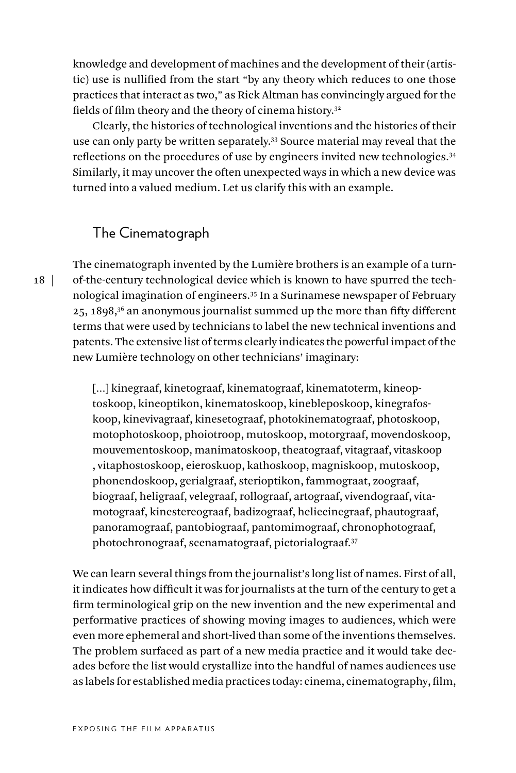knowledge and development of machines and the development of their (artistic) use is nullified from the start "by any theory which reduces to one those practices that interact as two," as Rick Altman has convincingly argued for the fields of film theory and the theory of cinema history.<sup>32</sup>

Clearly, the histories of technological inventions and the histories of their use can only party be written separately.33 Source material may reveal that the reflections on the procedures of use by engineers invited new technologies.34 Similarly, it may uncover the often unexpected ways in which a new device was turned into a valued medium. Let us clarify this with an example.

# The Cinematograph

The cinematograph invented by the Lumière brothers is an example of a turnof-the-century technological device which is known to have spurred the technological imagination of engineers.35 In a Surinamese newspaper of February 25, 1898,<sup>36</sup> an anonymous journalist summed up the more than fifty different terms that were used by technicians to label the new technical inventions and patents. The extensive list of terms clearly indicates the powerful impact of the new Lumière technology on other technicians' imaginary:

[...] kinegraaf, kinetograaf, kinematograaf, kinematoterm, kineoptoskoop, kineoptikon, kinematoskoop, kinebleposkoop, kinegrafoskoop, kinevivagraaf, kinesetograaf, photokinematograaf, photoskoop, motophotoskoop, phoiotroop, mutoskoop, motorgraaf, movendoskoop, mouvementoskoop, manimatoskoop, theatograaf, vitagraaf, vitaskoop , vitaphostoskoop, eieroskuop, kathoskoop, magniskoop, mutoskoop, phonendoskoop, gerialgraaf, sterioptikon, fammograat, zoograaf, biograaf, heligraaf, velegraaf, rollograaf, artograaf, vivendograaf, vitamotograaf, kinestereograaf, badizograaf, heliecinegraaf, phautograaf, panoramograaf, pantobiograaf, pantomimograaf, chronophotograaf, photochronograaf, scenamatograaf, pictorialograaf.37

We can learn several things from the journalist's long list of names. First of all, it indicates how difficult it was for journalists at the turn of the century to get a firm terminological grip on the new invention and the new experimental and performative practices of showing moving images to audiences, which were even more ephemeral and short-lived than some of the inventions themselves. The problem surfaced as part of a new media practice and it would take decades before the list would crystallize into the handful of names audiences use as labels for established media practices today: cinema, cinematography, film,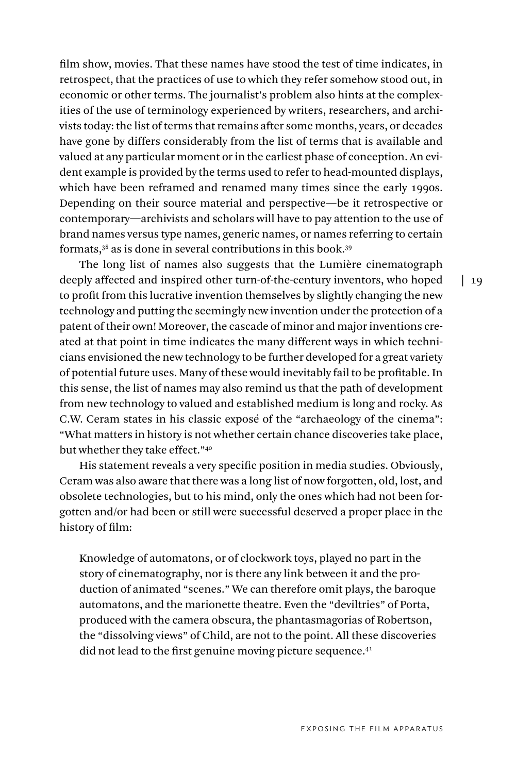film show, movies. That these names have stood the test of time indicates, in retrospect, that the practices of use to which they refer somehow stood out, in economic or other terms. The journalist's problem also hints at the complexities of the use of terminology experienced by writers, researchers, and archivists today: the list of terms that remains after some months, years, or decades have gone by differs considerably from the list of terms that is available and valued at any particular moment or in the earliest phase of conception. An evident example is provided by the terms used to refer to head-mounted displays, which have been reframed and renamed many times since the early 1990s. Depending on their source material and perspective—be it retrospective or contemporary—archivists and scholars will have to pay attention to the use of brand names versus type names, generic names, or names referring to certain formats,38 as is done in several contributions in this book.39

The long list of names also suggests that the Lumière cinematograph deeply affected and inspired other turn-of-the-century inventors, who hoped to profit from this lucrative invention themselves by slightly changing the new technology and putting the seemingly new invention under the protection of a patent of their own! Moreover, the cascade of minor and major inventions created at that point in time indicates the many different ways in which technicians envisioned the new technology to be further developed for a great variety of potential future uses. Many of these would inevitably fail to be profitable. In this sense, the list of names may also remind us that the path of development from new technology to valued and established medium is long and rocky. As C.W. Ceram states in his classic exposé of the "archaeology of the cinema": "What matters in history is not whether certain chance discoveries take place, but whether they take effect."40

His statement reveals a very specific position in media studies. Obviously, Ceram was also aware that there was a long list of now forgotten, old, lost, and obsolete technologies, but to his mind, only the ones which had not been forgotten and/or had been or still were successful deserved a proper place in the history of film:

Knowledge of automatons, or of clockwork toys, played no part in the story of cinematography, nor is there any link between it and the production of animated "scenes." We can therefore omit plays, the baroque automatons, and the marionette theatre. Even the "deviltries" of Porta, produced with the camera obscura, the phantasmagorias of Robertson, the "dissolving views" of Child, are not to the point. All these discoveries did not lead to the first genuine moving picture sequence.<sup>41</sup>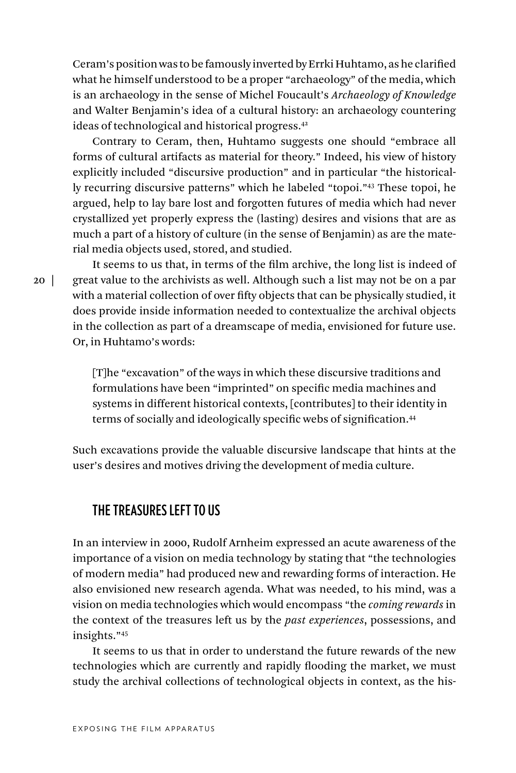Ceram's position was to be famously inverted by Errki Huhtamo, as he clarified what he himself understood to be a proper "archaeology" of the media, which is an archaeology in the sense of Michel Foucault's *Archaeology of Knowledge* and Walter Benjamin's idea of a cultural history: an archaeology countering ideas of technological and historical progress.42

Contrary to Ceram, then, Huhtamo suggests one should "embrace all forms of cultural artifacts as material for theory." Indeed, his view of history explicitly included "discursive production" and in particular "the historically recurring discursive patterns" which he labeled "topoi."43 These topoi, he argued, help to lay bare lost and forgotten futures of media which had never crystallized yet properly express the (lasting) desires and visions that are as much a part of a history of culture (in the sense of Benjamin) as are the material media objects used, stored, and studied.

It seems to us that, in terms of the film archive, the long list is indeed of great value to the archivists as well. Although such a list may not be on a par with a material collection of over fifty objects that can be physically studied, it does provide inside information needed to contextualize the archival objects in the collection as part of a dreamscape of media, envisioned for future use. Or, in Huhtamo's words:

[T]he "excavation" of the ways in which these discursive traditions and formulations have been "imprinted" on specific media machines and systems in different historical contexts, [contributes] to their identity in terms of socially and ideologically specific webs of signification.<sup>44</sup>

Such excavations provide the valuable discursive landscape that hints at the user's desires and motives driving the development of media culture.

# **THE TREASURES LEFT TO US**

In an interview in 2000, Rudolf Arnheim expressed an acute awareness of the importance of a vision on media technology by stating that "the technologies of modern media" had produced new and rewarding forms of interaction. He also envisioned new research agenda. What was needed, to his mind, was a vision on media technologies which would encompass "the *coming rewards* in the context of the treasures left us by the *past experiences*, possessions, and insights."45

It seems to us that in order to understand the future rewards of the new technologies which are currently and rapidly flooding the market, we must study the archival collections of technological objects in context, as the his-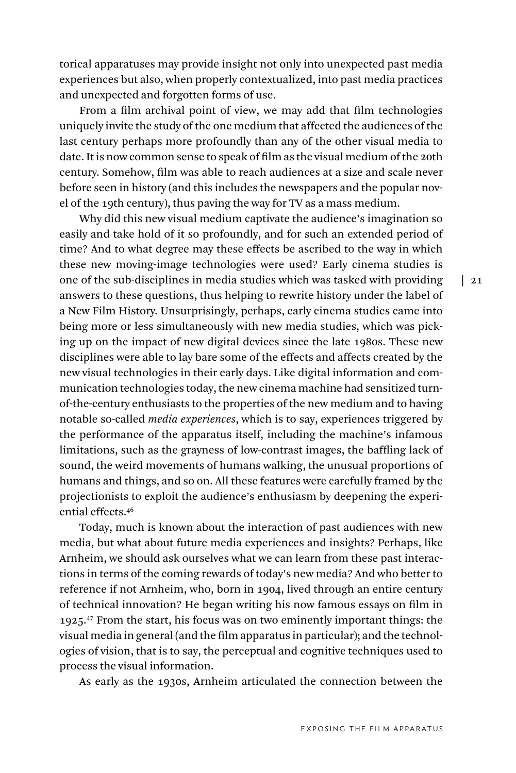torical apparatuses may provide insight not only into unexpected past media experiences but also, when properly contextualized, into past media practices and unexpected and forgotten forms of use.

From a film archival point of view, we may add that film technologies uniquely invite the study of the one medium that affected the audiences of the last century perhaps more profoundly than any of the other visual media to date. It is now common sense to speak of film as the visual medium of the 20th century. Somehow, film was able to reach audiences at a size and scale never before seen in history (and this includes the newspapers and the popular novel of the 19th century), thus paving the way for TV as a mass medium.

Why did this new visual medium captivate the audience's imagination so easily and take hold of it so profoundly, and for such an extended period of time? And to what degree may these effects be ascribed to the way in which these new moving-image technologies were used? Early cinema studies is one of the sub-disciplines in media studies which was tasked with providing answers to these questions, thus helping to rewrite history under the label of a New Film History. Unsurprisingly, perhaps, early cinema studies came into being more or less simultaneously with new media studies, which was picking up on the impact of new digital devices since the late 1980s. These new disciplines were able to lay bare some of the effects and affects created by the new visual technologies in their early days. Like digital information and communication technologies today, the new cinema machine had sensitized turnof-the-century enthusiasts to the properties of the new medium and to having notable so-called *media experiences*, which is to say, experiences triggered by the performance of the apparatus itself, including the machine's infamous limitations, such as the grayness of low-contrast images, the baffling lack of sound, the weird movements of humans walking, the unusual proportions of humans and things, and so on. All these features were carefully framed by the projectionists to exploit the audience's enthusiasm by deepening the experiential effects.46

Today, much is known about the interaction of past audiences with new media, but what about future media experiences and insights? Perhaps, like Arnheim, we should ask ourselves what we can learn from these past interactions in terms of the coming rewards of today's new media? And who better to reference if not Arnheim, who, born in 1904, lived through an entire century of technical innovation? He began writing his now famous essays on film in 1925.<sup>47</sup> From the start, his focus was on two eminently important things: the visual media in general (and the film apparatus in particular); and the technologies of vision, that is to say, the perceptual and cognitive techniques used to process the visual information.

As early as the 1930s, Arnheim articulated the connection between the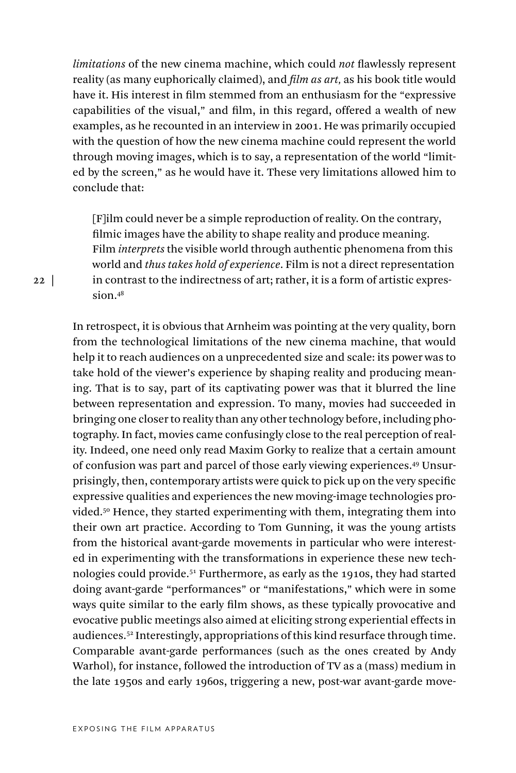*limitations* of the new cinema machine, which could *not* flawlessly represent reality (as many euphorically claimed), and *film as art,* as his book title would have it. His interest in film stemmed from an enthusiasm for the "expressive capabilities of the visual," and film, in this regard, offered a wealth of new examples, as he recounted in an interview in 2001. He was primarily occupied with the question of how the new cinema machine could represent the world through moving images, which is to say, a representation of the world "limited by the screen," as he would have it. These very limitations allowed him to conclude that:

[F]ilm could never be a simple reproduction of reality. On the contrary, filmic images have the ability to shape reality and produce meaning. Film *interprets* the visible world through authentic phenomena from this world and *thus takes hold of experience*. Film is not a direct representation in contrast to the indirectness of art; rather, it is a form of artistic expression.48

In retrospect, it is obvious that Arnheim was pointing at the very quality, born from the technological limitations of the new cinema machine, that would help it to reach audiences on a unprecedented size and scale: its power was to take hold of the viewer's experience by shaping reality and producing meaning. That is to say, part of its captivating power was that it blurred the line between representation and expression. To many, movies had succeeded in bringing one closer to reality than any other technology before, including photography. In fact, movies came confusingly close to the real perception of reality. Indeed, one need only read Maxim Gorky to realize that a certain amount of confusion was part and parcel of those early viewing experiences.49 Unsurprisingly, then, contemporary artists were quick to pick up on the very specific expressive qualities and experiences the new moving-image technologies provided.50 Hence, they started experimenting with them, integrating them into their own art practice. According to Tom Gunning, it was the young artists from the historical avant-garde movements in particular who were interested in experimenting with the transformations in experience these new technologies could provide.51 Furthermore, as early as the 1910s, they had started doing avant-garde "performances" or "manifestations," which were in some ways quite similar to the early film shows, as these typically provocative and evocative public meetings also aimed at eliciting strong experiential effects in audiences.52 Interestingly, appropriations of this kind resurface through time. Comparable avant-garde performances (such as the ones created by Andy Warhol), for instance, followed the introduction of TV as a (mass) medium in the late 1950s and early 1960s, triggering a new, post-war avant-garde move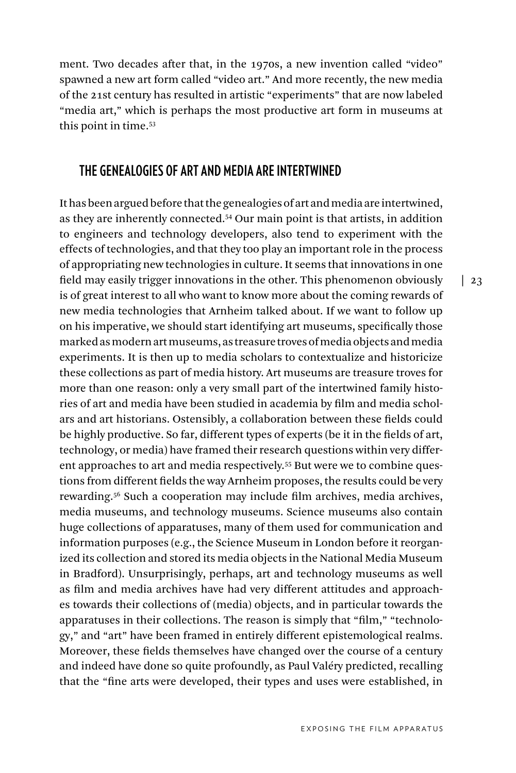ment. Two decades after that, in the 1970s, a new invention called "video" spawned a new art form called "video art." And more recently, the new media of the 21st century has resulted in artistic "experiments" that are now labeled "media art," which is perhaps the most productive art form in museums at this point in time.53

#### **THE GENEALOGIES OF ART AND MEDIA ARE INTERTWINED**

It has been argued before that the genealogies of art and media are intertwined, as they are inherently connected.54 Our main point is that artists, in addition to engineers and technology developers, also tend to experiment with the effects of technologies, and that they too play an important role in the process of appropriating new technologies in culture. It seems that innovations in one field may easily trigger innovations in the other. This phenomenon obviously is of great interest to all who want to know more about the coming rewards of new media technologies that Arnheim talked about. If we want to follow up on his imperative, we should start identifying art museums, specifically those marked as modern art museums, as treasure troves of media objects and media experiments. It is then up to media scholars to contextualize and historicize these collections as part of media history. Art museums are treasure troves for more than one reason: only a very small part of the intertwined family histories of art and media have been studied in academia by film and media scholars and art historians. Ostensibly, a collaboration between these fields could be highly productive. So far, different types of experts (be it in the fields of art, technology, or media) have framed their research questions within very different approaches to art and media respectively.55 But were we to combine questions from different fields the way Arnheim proposes, the results could be very rewarding.56 Such a cooperation may include film archives, media archives, media museums, and technology museums. Science museums also contain huge collections of apparatuses, many of them used for communication and information purposes (e.g., the Science Museum in London before it reorganized its collection and stored its media objects in the National Media Museum in Bradford). Unsurprisingly, perhaps, art and technology museums as well as film and media archives have had very different attitudes and approaches towards their collections of (media) objects, and in particular towards the apparatuses in their collections. The reason is simply that "film," "technology," and "art" have been framed in entirely different epistemological realms. Moreover, these fields themselves have changed over the course of a century and indeed have done so quite profoundly, as Paul Valéry predicted, recalling that the "fine arts were developed, their types and uses were established, in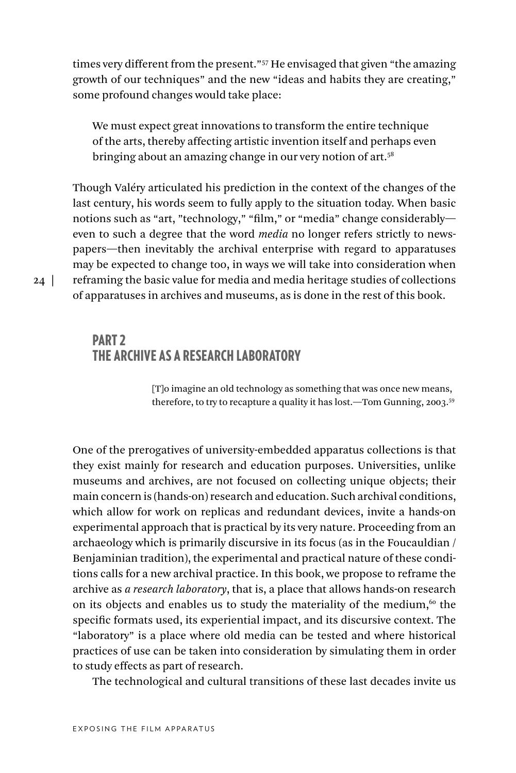times very different from the present."57 He envisaged that given "the amazing growth of our techniques" and the new "ideas and habits they are creating," some profound changes would take place:

We must expect great innovations to transform the entire technique of the arts, thereby affecting artistic invention itself and perhaps even bringing about an amazing change in our very notion of art.<sup>58</sup>

Though Valéry articulated his prediction in the context of the changes of the last century, his words seem to fully apply to the situation today. When basic notions such as "art, "technology," "film," or "media" change considerably even to such a degree that the word *media* no longer refers strictly to newspapers—then inevitably the archival enterprise with regard to apparatuses may be expected to change too, in ways we will take into consideration when reframing the basic value for media and media heritage studies of collections of apparatuses in archives and museums, as is done in the rest of this book.

#### PART 2 THE ARCHIVE AS A RESEARCH LABORATORY

[T]o imagine an old technology as something that was once new means, therefore, to try to recapture a quality it has lost.—Tom Gunning, 2003.59

One of the prerogatives of university-embedded apparatus collections is that they exist mainly for research and education purposes. Universities, unlike museums and archives, are not focused on collecting unique objects; their main concern is (hands-on) research and education. Such archival conditions, which allow for work on replicas and redundant devices, invite a hands-on experimental approach that is practical by its very nature. Proceeding from an archaeology which is primarily discursive in its focus (as in the Foucauldian / Benjaminian tradition), the experimental and practical nature of these conditions calls for a new archival practice. In this book, we propose to reframe the archive as *a research laboratory*, that is, a place that allows hands-on research on its objects and enables us to study the materiality of the medium, $60$  the specific formats used, its experiential impact, and its discursive context. The "laboratory" is a place where old media can be tested and where historical practices of use can be taken into consideration by simulating them in order to study effects as part of research.

The technological and cultural transitions of these last decades invite us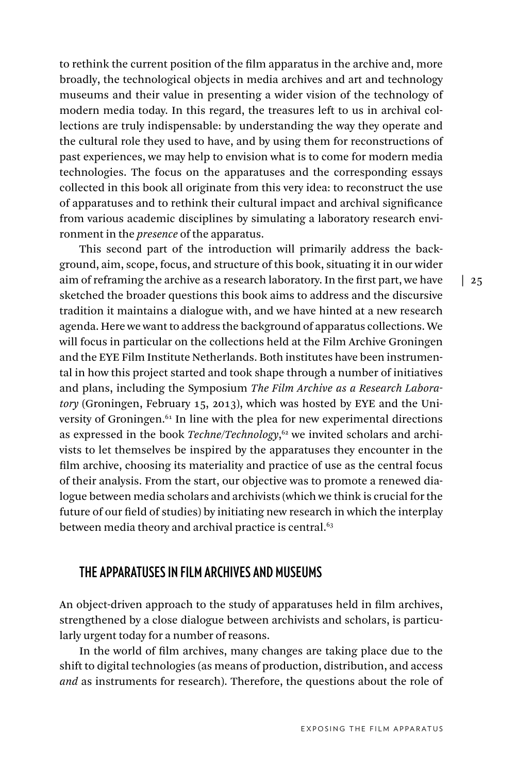to rethink the current position of the film apparatus in the archive and, more broadly, the technological objects in media archives and art and technology museums and their value in presenting a wider vision of the technology of modern media today. In this regard, the treasures left to us in archival collections are truly indispensable: by understanding the way they operate and the cultural role they used to have, and by using them for reconstructions of past experiences, we may help to envision what is to come for modern media technologies. The focus on the apparatuses and the corresponding essays collected in this book all originate from this very idea: to reconstruct the use of apparatuses and to rethink their cultural impact and archival significance from various academic disciplines by simulating a laboratory research environment in the *presence* of the apparatus.

This second part of the introduction will primarily address the background, aim, scope, focus, and structure of this book, situating it in our wider aim of reframing the archive as a research laboratory. In the first part, we have sketched the broader questions this book aims to address and the discursive tradition it maintains a dialogue with, and we have hinted at a new research agenda. Here we want to address the background of apparatus collections. We will focus in particular on the collections held at the Film Archive Groningen and the EYE Film Institute Netherlands. Both institutes have been instrumental in how this project started and took shape through a number of initiatives and plans, including the Symposium *The Film Archive as a Research Laboratory* (Groningen, February 15, 2013), which was hosted by EYE and the University of Groningen.<sup>61</sup> In line with the plea for new experimental directions as expressed in the book *Techne/Technology*, 62 we invited scholars and archivists to let themselves be inspired by the apparatuses they encounter in the film archive, choosing its materiality and practice of use as the central focus of their analysis. From the start, our objective was to promote a renewed dialogue between media scholars and archivists (which we think is crucial for the future of our field of studies) by initiating new research in which the interplay between media theory and archival practice is central.<sup>63</sup>

#### **THE APPARATUSES IN FILM ARCHIVES AND MUSEUMS**

An object-driven approach to the study of apparatuses held in film archives, strengthened by a close dialogue between archivists and scholars, is particularly urgent today for a number of reasons.

In the world of film archives, many changes are taking place due to the shift to digital technologies (as means of production, distribution, and access *and* as instruments for research). Therefore, the questions about the role of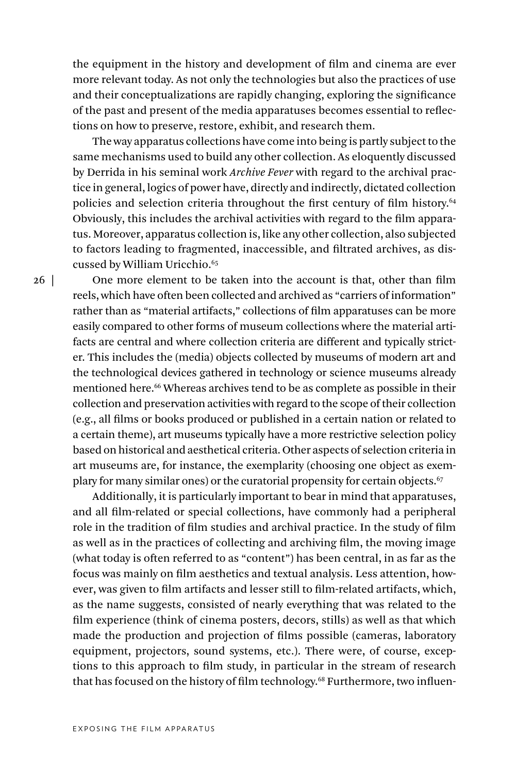the equipment in the history and development of film and cinema are ever more relevant today. As not only the technologies but also the practices of use and their conceptualizations are rapidly changing, exploring the significance of the past and present of the media apparatuses becomes essential to reflections on how to preserve, restore, exhibit, and research them.

The way apparatus collections have come into being is partly subject to the same mechanisms used to build any other collection. As eloquently discussed by Derrida in his seminal work *Archive Fever* with regard to the archival practice in general, logics of power have, directly and indirectly, dictated collection policies and selection criteria throughout the first century of film history.64 Obviously, this includes the archival activities with regard to the film apparatus. Moreover, apparatus collection is, like any other collection, also subjected to factors leading to fragmented, inaccessible, and filtrated archives, as discussed by William Uricchio.<sup>65</sup>

One more element to be taken into the account is that, other than film reels, which have often been collected and archived as "carriers of information" rather than as "material artifacts," collections of film apparatuses can be more easily compared to other forms of museum collections where the material artifacts are central and where collection criteria are different and typically stricter. This includes the (media) objects collected by museums of modern art and the technological devices gathered in technology or science museums already mentioned here.<sup>66</sup> Whereas archives tend to be as complete as possible in their collection and preservation activities with regard to the scope of their collection (e.g., all films or books produced or published in a certain nation or related to a certain theme), art museums typically have a more restrictive selection policy based on historical and aesthetical criteria. Other aspects of selection criteria in art museums are, for instance, the exemplarity (choosing one object as exemplary for many similar ones) or the curatorial propensity for certain objects.<sup>67</sup>

Additionally, it is particularly important to bear in mind that apparatuses, and all film-related or special collections, have commonly had a peripheral role in the tradition of film studies and archival practice. In the study of film as well as in the practices of collecting and archiving film, the moving image (what today is often referred to as "content") has been central, in as far as the focus was mainly on film aesthetics and textual analysis. Less attention, however, was given to film artifacts and lesser still to film-related artifacts, which, as the name suggests, consisted of nearly everything that was related to the film experience (think of cinema posters, decors, stills) as well as that which made the production and projection of films possible (cameras, laboratory equipment, projectors, sound systems, etc.). There were, of course, exceptions to this approach to film study, in particular in the stream of research that has focused on the history of film technology.68 Furthermore, two influen-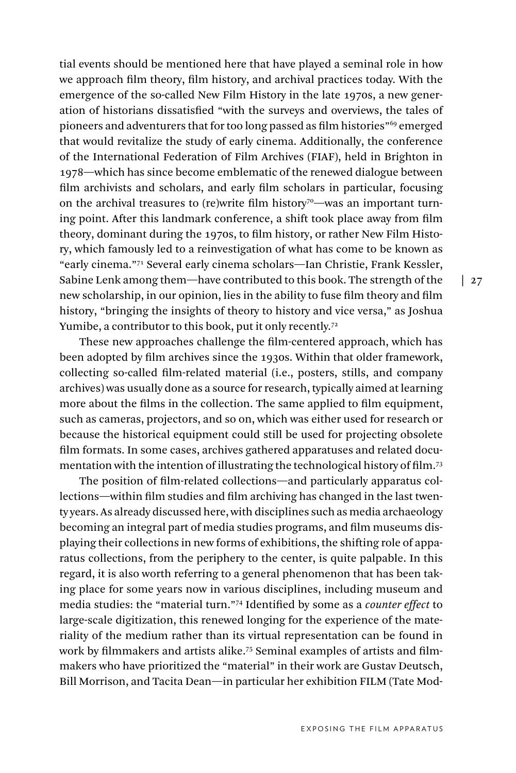tial events should be mentioned here that have played a seminal role in how we approach film theory, film history, and archival practices today. With the emergence of the so-called New Film History in the late 1970s, a new generation of historians dissatisfied "with the surveys and overviews, the tales of pioneers and adventurers that for too long passed as film histories"69 emerged that would revitalize the study of early cinema. Additionally, the conference of the International Federation of Film Archives (FIAF), held in Brighton in 1978—which has since become emblematic of the renewed dialogue between film archivists and scholars, and early film scholars in particular, focusing on the archival treasures to (re)write film history<sup>70</sup>—was an important turning point. After this landmark conference, a shift took place away from film theory, dominant during the 1970s, to film history, or rather New Film History, which famously led to a reinvestigation of what has come to be known as "early cinema."71 Several early cinema scholars—Ian Christie, Frank Kessler, Sabine Lenk among them—have contributed to this book. The strength of the new scholarship, in our opinion, lies in the ability to fuse film theory and film history, "bringing the insights of theory to history and vice versa," as Joshua Yumibe, a contributor to this book, put it only recently.<sup>72</sup>

These new approaches challenge the film-centered approach, which has been adopted by film archives since the 1930s. Within that older framework, collecting so-called film-related material (i.e., posters, stills, and company archives) was usually done as a source for research, typically aimed at learning more about the films in the collection. The same applied to film equipment, such as cameras, projectors, and so on, which was either used for research or because the historical equipment could still be used for projecting obsolete film formats. In some cases, archives gathered apparatuses and related documentation with the intention of illustrating the technological history of film.73

The position of film-related collections—and particularly apparatus collections—within film studies and film archiving has changed in the last twenty years. As already discussed here, with disciplines such as media archaeology becoming an integral part of media studies programs, and film museums displaying their collections in new forms of exhibitions, the shifting role of apparatus collections, from the periphery to the center, is quite palpable. In this regard, it is also worth referring to a general phenomenon that has been taking place for some years now in various disciplines, including museum and media studies: the "material turn."74 Identified by some as a *counter effect* to large-scale digitization, this renewed longing for the experience of the materiality of the medium rather than its virtual representation can be found in work by filmmakers and artists alike.75 Seminal examples of artists and filmmakers who have prioritized the "material" in their work are Gustav Deutsch, Bill Morrison, and Tacita Dean—in particular her exhibition FILM (Tate Mod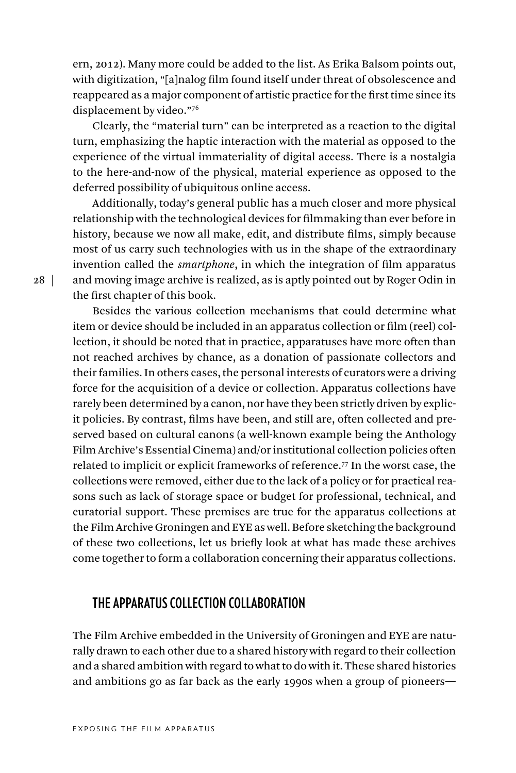ern, 2012). Many more could be added to the list. As Erika Balsom points out, with digitization, "[a]nalog film found itself under threat of obsolescence and reappeared as a major component of artistic practice for the first time since its displacement by video."76

Clearly, the "material turn" can be interpreted as a reaction to the digital turn, emphasizing the haptic interaction with the material as opposed to the experience of the virtual immateriality of digital access. There is a nostalgia to the here-and-now of the physical, material experience as opposed to the deferred possibility of ubiquitous online access.

Additionally, today's general public has a much closer and more physical relationship with the technological devices for filmmaking than ever before in history, because we now all make, edit, and distribute films, simply because most of us carry such technologies with us in the shape of the extraordinary invention called the *smartphone*, in which the integration of film apparatus and moving image archive is realized, as is aptly pointed out by Roger Odin in the first chapter of this book.

Besides the various collection mechanisms that could determine what item or device should be included in an apparatus collection or film (reel) collection, it should be noted that in practice, apparatuses have more often than not reached archives by chance, as a donation of passionate collectors and their families. In others cases, the personal interests of curators were a driving force for the acquisition of a device or collection. Apparatus collections have rarely been determined by a canon, nor have they been strictly driven by explicit policies. By contrast, films have been, and still are, often collected and preserved based on cultural canons (a well-known example being the Anthology Film Archive's Essential Cinema) and/or institutional collection policies often related to implicit or explicit frameworks of reference.77 In the worst case, the collections were removed, either due to the lack of a policy or for practical reasons such as lack of storage space or budget for professional, technical, and curatorial support. These premises are true for the apparatus collections at the Film Archive Groningen and EYE as well. Before sketching the background of these two collections, let us briefly look at what has made these archives come together to form a collaboration concerning their apparatus collections.

# **THE APPARATUS COLLECTION COLLABORATION**

The Film Archive embedded in the University of Groningen and EYE are naturally drawn to each other due to a shared history with regard to their collection and a shared ambition with regard to what to do with it. These shared histories and ambitions go as far back as the early 1990s when a group of pioneers—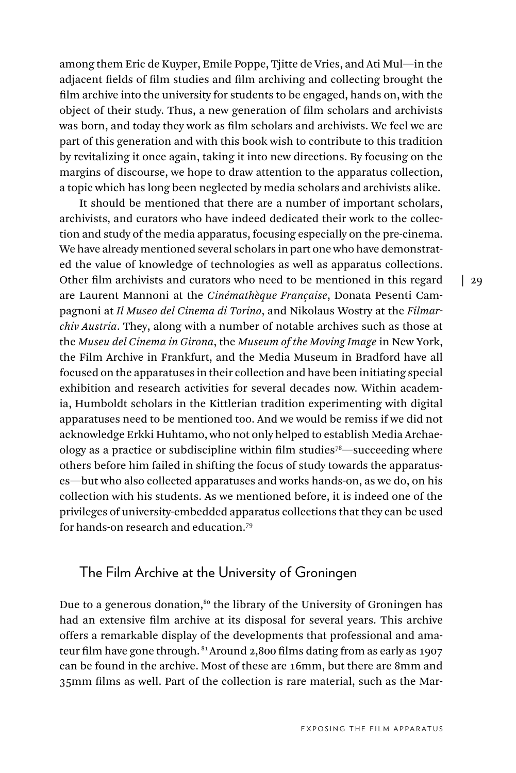among them Eric de Kuyper, Emile Poppe, Tjitte de Vries, and Ati Mul—in the adjacent fields of film studies and film archiving and collecting brought the film archive into the university for students to be engaged, hands on, with the object of their study. Thus, a new generation of film scholars and archivists was born, and today they work as film scholars and archivists. We feel we are part of this generation and with this book wish to contribute to this tradition by revitalizing it once again, taking it into new directions. By focusing on the margins of discourse, we hope to draw attention to the apparatus collection, a topic which has long been neglected by media scholars and archivists alike.

It should be mentioned that there are a number of important scholars, archivists, and curators who have indeed dedicated their work to the collection and study of the media apparatus, focusing especially on the pre-cinema. We have already mentioned several scholars in part one who have demonstrated the value of knowledge of technologies as well as apparatus collections. Other film archivists and curators who need to be mentioned in this regard are Laurent Mannoni at the *Cinémathèque Française*, Donata Pesenti Campagnoni at *Il Museo del Cinema di Torino*, and Nikolaus Wostry at the *Filmarchiv Austria*. They, along with a number of notable archives such as those at the *Museu del Cinema in Girona*, the *Museum of the Moving Image* in New York, the Film Archive in Frankfurt, and the Media Museum in Bradford have all focused on the apparatuses in their collection and have been initiating special exhibition and research activities for several decades now. Within academia, Humboldt scholars in the Kittlerian tradition experimenting with digital apparatuses need to be mentioned too. And we would be remiss if we did not acknowledge Erkki Huhtamo, who not only helped to establish Media Archaeology as a practice or subdiscipline within film studies78—succeeding where others before him failed in shifting the focus of study towards the apparatuses—but who also collected apparatuses and works hands-on, as we do, on his collection with his students. As we mentioned before, it is indeed one of the privileges of university-embedded apparatus collections that they can be used for hands-on research and education.79

#### The Film Archive at the University of Groningen

Due to a generous donation, $80$  the library of the University of Groningen has had an extensive film archive at its disposal for several years. This archive offers a remarkable display of the developments that professional and amateur film have gone through. <sup>81</sup> Around 2,800 films dating from as early as 1907 can be found in the archive. Most of these are 16mm, but there are 8mm and 35mm films as well. Part of the collection is rare material, such as the Mar $\frac{1}{29}$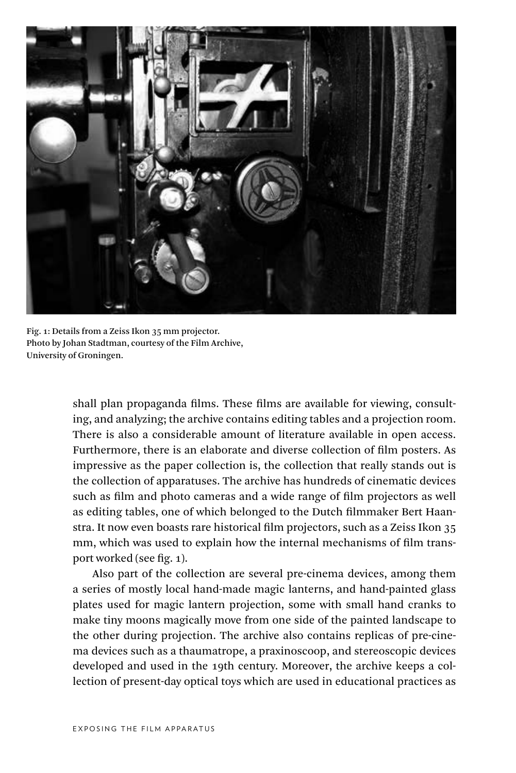

Fig. 1: Details from a Zeiss Ikon 35 mm projector. Photo by Johan Stadtman, courtesy of the Film Archive, University of Groningen.

shall plan propaganda films. These films are available for viewing, consulting, and analyzing; the archive contains editing tables and a projection room. There is also a considerable amount of literature available in open access. Furthermore, there is an elaborate and diverse collection of film posters. As impressive as the paper collection is, the collection that really stands out is the collection of apparatuses. The archive has hundreds of cinematic devices such as film and photo cameras and a wide range of film projectors as well as editing tables, one of which belonged to the Dutch filmmaker Bert Haanstra. It now even boasts rare historical film projectors, such as a Zeiss Ikon 35 mm, which was used to explain how the internal mechanisms of film transport worked (see fig. 1).

Also part of the collection are several pre-cinema devices, among them a series of mostly local hand-made magic lanterns, and hand-painted glass plates used for magic lantern projection, some with small hand cranks to make tiny moons magically move from one side of the painted landscape to the other during projection. The archive also contains replicas of pre-cinema devices such as a thaumatrope, a praxinoscoop, and stereoscopic devices developed and used in the 19th century. Moreover, the archive keeps a collection of present-day optical toys which are used in educational practices as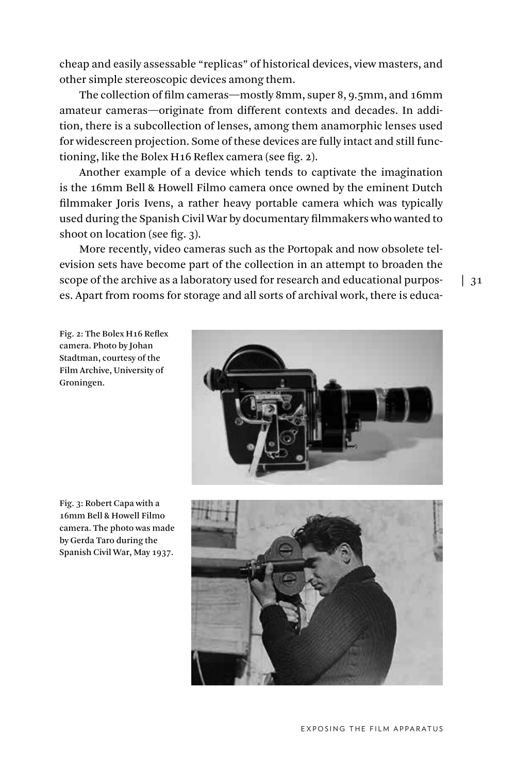cheap and easily assessable "replicas" of historical devices, view masters, and other simple stereoscopic devices among them.

The collection of film cameras—mostly 8mm, super 8, 9.5mm, and 16mm amateur cameras—originate from different contexts and decades. In addition, there is a subcollection of lenses, among them anamorphic lenses used for widescreen projection. Some of these devices are fully intact and still functioning, like the Bolex H16 Reflex camera (see fig. 2).

Another example of a device which tends to captivate the imagination is the 16mm Bell & Howell Filmo camera once owned by the eminent Dutch filmmaker Joris Ivens, a rather heavy portable camera which was typically used during the Spanish Civil War by documentary filmmakers who wanted to shoot on location (see fig. 3).

More recently, video cameras such as the Portopak and now obsolete television sets have become part of the collection in an attempt to broaden the scope of the archive as a laboratory used for research and educational purposes. Apart from rooms for storage and all sorts of archival work, there is educa-

Fig. 2: The Bolex H16 Reflex camera. Photo by Johan Stadtman, courtesy of the Film Archive, University of Groningen.





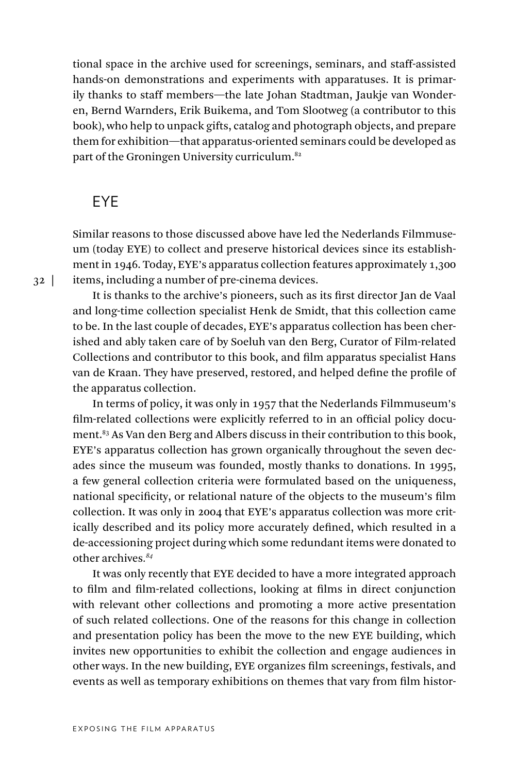tional space in the archive used for screenings, seminars, and staff-assisted hands-on demonstrations and experiments with apparatuses. It is primarily thanks to staff members—the late Johan Stadtman, Jaukje van Wonderen, Bernd Warnders, Erik Buikema, and Tom Slootweg (a contributor to this book), who help to unpack gifts, catalog and photograph objects, and prepare them for exhibition—that apparatus-oriented seminars could be developed as part of the Groningen University curriculum.82

#### EYE

Similar reasons to those discussed above have led the Nederlands Filmmuseum (today EYE) to collect and preserve historical devices since its establishment in 1946. Today, EYE's apparatus collection features approximately 1,300 items, including a number of pre-cinema devices.

It is thanks to the archive's pioneers, such as its first director Jan de Vaal and long-time collection specialist Henk de Smidt, that this collection came to be. In the last couple of decades, EYE's apparatus collection has been cherished and ably taken care of by Soeluh van den Berg, Curator of Film-related Collections and contributor to this book, and film apparatus specialist Hans van de Kraan. They have preserved, restored, and helped define the profile of the apparatus collection.

In terms of policy, it was only in 1957 that the Nederlands Filmmuseum's film-related collections were explicitly referred to in an official policy document.83 As Van den Berg and Albers discuss in their contribution to this book, EYE's apparatus collection has grown organically throughout the seven decades since the museum was founded, mostly thanks to donations. In 1995, a few general collection criteria were formulated based on the uniqueness, national specificity, or relational nature of the objects to the museum's film collection. It was only in 2004 that EYE's apparatus collection was more critically described and its policy more accurately defined, which resulted in a de-accessioning project during which some redundant items were donated to other archives*. 84*

It was only recently that EYE decided to have a more integrated approach to film and film-related collections, looking at films in direct conjunction with relevant other collections and promoting a more active presentation of such related collections. One of the reasons for this change in collection and presentation policy has been the move to the new EYE building, which invites new opportunities to exhibit the collection and engage audiences in other ways. In the new building, EYE organizes film screenings, festivals, and events as well as temporary exhibitions on themes that vary from film histor-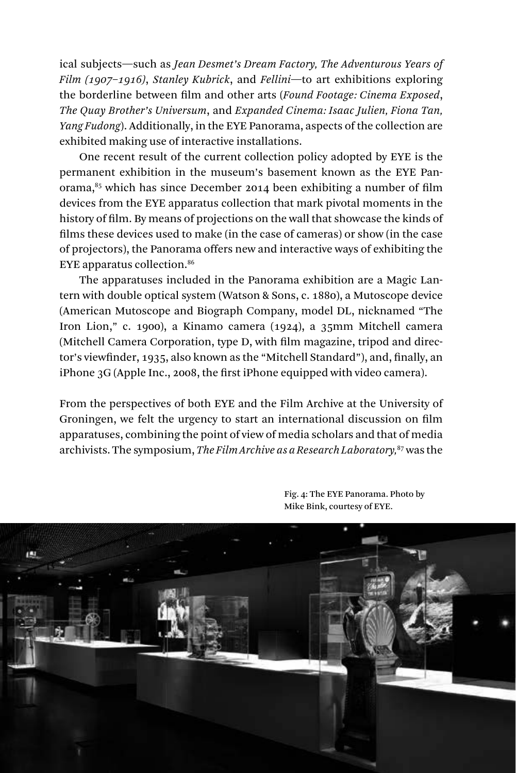ical subjects—such as *Jean Desmet's Dream Factory, The Adventurous Years of Film (1907–1916)*, *Stanley Kubrick*, and *Fellini*—to art exhibitions exploring the borderline between film and other arts (*Found Footage: Cinema Exposed*, *The Quay Brother's Universum*, and *Expanded Cinema: Isaac Julien, Fiona Tan, Yang Fudong*). Additionally, in the EYE Panorama, aspects of the collection are exhibited making use of interactive installations.

One recent result of the current collection policy adopted by EYE is the permanent exhibition in the museum's basement known as the EYE Panorama, $85$  which has since December 2014 been exhibiting a number of film devices from the EYE apparatus collection that mark pivotal moments in the history of film. By means of projections on the wall that showcase the kinds of films these devices used to make (in the case of cameras) or show (in the case of projectors), the Panorama offers new and interactive ways of exhibiting the EYE apparatus collection.86

The apparatuses included in the Panorama exhibition are a Magic Lantern with double optical system (Watson & Sons, c. 1880), a Mutoscope device (American Mutoscope and Biograph Company, model DL, nicknamed "The Iron Lion," c. 1900), a Kinamo camera (1924), a 35mm Mitchell camera (Mitchell Camera Corporation, type D, with film magazine, tripod and director's viewfinder, 1935, also known as the "Mitchell Standard"), and, finally, an iPhone 3G (Apple Inc., 2008, the first iPhone equipped with video camera).

From the perspectives of both EYE and the Film Archive at the University of Groningen, we felt the urgency to start an international discussion on film apparatuses, combining the point of view of media scholars and that of media archivists. The symposium, *The Film Archive as a Research Laboratory,*87 was the



Fig. 4: The EYE Panorama. Photo by Mike Bink, courtesy of EYE.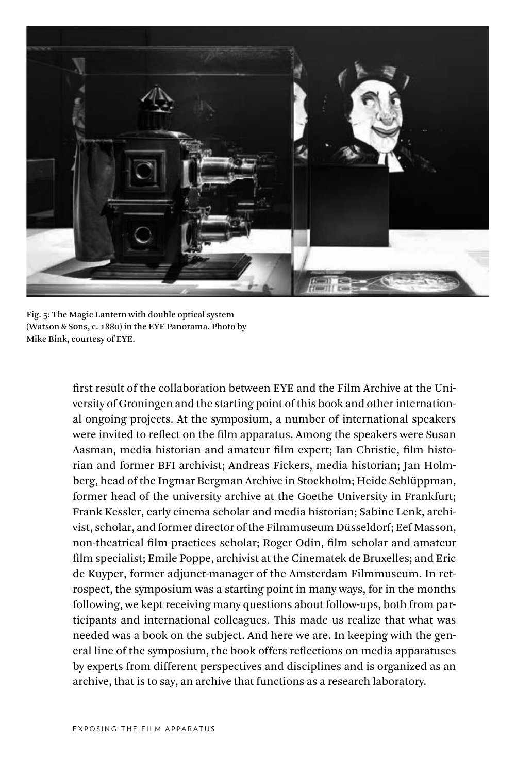

Fig. 5: The Magic Lantern with double optical system (Watson & Sons, c. 1880) in the EYE Panorama. Photo by Mike Bink, courtesy of EYE.

first result of the collaboration between EYE and the Film Archive at the University of Groningen and the starting point of this book and other international ongoing projects. At the symposium, a number of international speakers were invited to reflect on the film apparatus. Among the speakers were Susan Aasman, media historian and amateur film expert; Ian Christie, film historian and former BFI archivist; Andreas Fickers, media historian; Jan Holmberg, head of the Ingmar Bergman Archive in Stockholm; Heide Schlüppman, former head of the university archive at the Goethe University in Frankfurt; Frank Kessler, early cinema scholar and media historian; Sabine Lenk, archivist, scholar, and former director of the Filmmuseum Düsseldorf; Eef Masson, non-theatrical film practices scholar; Roger Odin, film scholar and amateur film specialist; Emile Poppe, archivist at the Cinematek de Bruxelles; and Eric de Kuyper, former adjunct-manager of the Amsterdam Filmmuseum. In retrospect, the symposium was a starting point in many ways, for in the months following, we kept receiving many questions about follow-ups, both from participants and international colleagues. This made us realize that what was needed was a book on the subject. And here we are. In keeping with the general line of the symposium, the book offers reflections on media apparatuses by experts from different perspectives and disciplines and is organized as an archive, that is to say, an archive that functions as a research laboratory.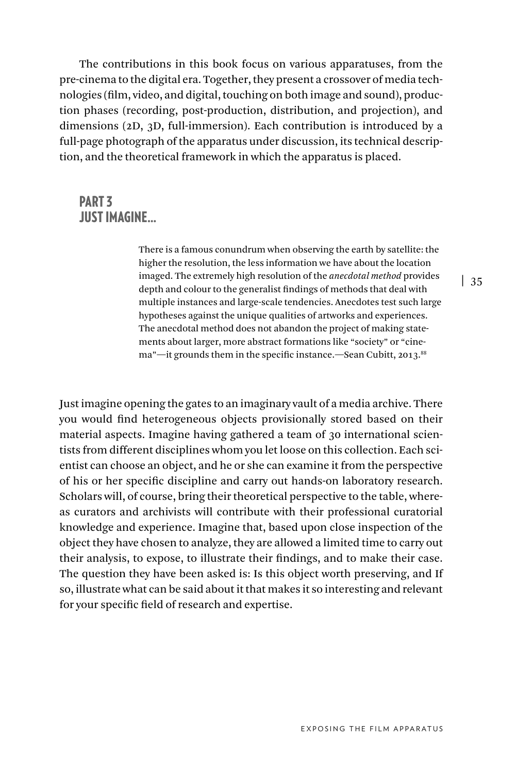The contributions in this book focus on various apparatuses, from the pre-cinema to the digital era. Together, they present a crossover of media technologies (film, video, and digital, touching on both image and sound), production phases (recording, post-production, distribution, and projection), and dimensions (2D, 3D, full-immersion). Each contribution is introduced by a full-page photograph of the apparatus under discussion, its technical description, and the theoretical framework in which the apparatus is placed.

## PART 3 **IIIST IMAGINE**

There is a famous conundrum when observing the earth by satellite: the higher the resolution, the less information we have about the location imaged. The extremely high resolution of the *anecdotal method* provides depth and colour to the generalist findings of methods that deal with multiple instances and large-scale tendencies. Anecdotes test such large hypotheses against the unique qualities of artworks and experiences. The anecdotal method does not abandon the project of making statements about larger, more abstract formations like "society" or "cinema"—it grounds them in the specific instance.—Sean Cubitt, 2013.<sup>88</sup>

Just imagine opening the gates to an imaginary vault of a media archive. There you would find heterogeneous objects provisionally stored based on their material aspects. Imagine having gathered a team of 30 international scientists from different disciplines whom you let loose on this collection. Each scientist can choose an object, and he or she can examine it from the perspective of his or her specific discipline and carry out hands-on laboratory research. Scholars will, of course, bring their theoretical perspective to the table, whereas curators and archivists will contribute with their professional curatorial knowledge and experience. Imagine that, based upon close inspection of the object they have chosen to analyze, they are allowed a limited time to carry out their analysis, to expose, to illustrate their findings, and to make their case. The question they have been asked is: Is this object worth preserving, and If so, illustrate what can be said about it that makes it so interesting and relevant for your specific field of research and expertise.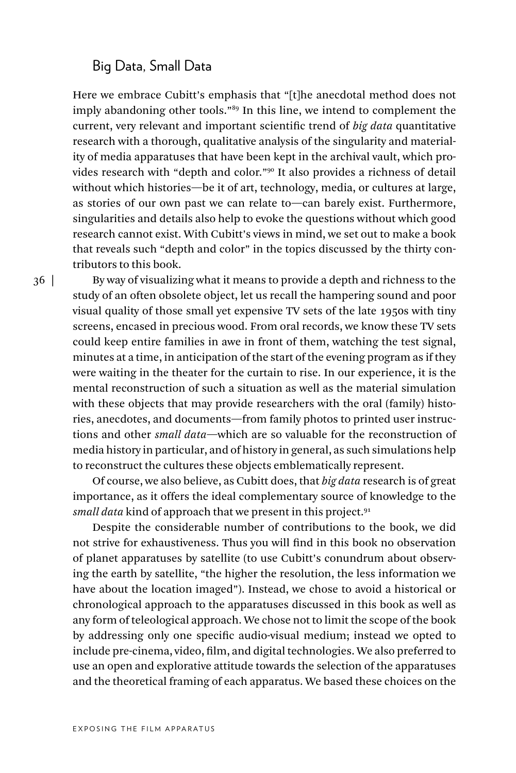#### Big Data, Small Data

Here we embrace Cubitt's emphasis that "[t]he anecdotal method does not imply abandoning other tools."89 In this line, we intend to complement the current, very relevant and important scientific trend of *big data* quantitative research with a thorough, qualitative analysis of the singularity and materiality of media apparatuses that have been kept in the archival vault, which provides research with "depth and color."90 It also provides a richness of detail without which histories—be it of art, technology, media, or cultures at large, as stories of our own past we can relate to—can barely exist. Furthermore, singularities and details also help to evoke the questions without which good research cannot exist. With Cubitt's views in mind, we set out to make a book that reveals such "depth and color" in the topics discussed by the thirty contributors to this book.

36 |

By way of visualizing what it means to provide a depth and richness to the study of an often obsolete object, let us recall the hampering sound and poor visual quality of those small yet expensive TV sets of the late 1950s with tiny screens, encased in precious wood. From oral records, we know these TV sets could keep entire families in awe in front of them, watching the test signal, minutes at a time, in anticipation of the start of the evening program as if they were waiting in the theater for the curtain to rise. In our experience, it is the mental reconstruction of such a situation as well as the material simulation with these objects that may provide researchers with the oral (family) histories, anecdotes, and documents—from family photos to printed user instructions and other *small data*—which are so valuable for the reconstruction of media history in particular, and of history in general, as such simulations help to reconstruct the cultures these objects emblematically represent.

Of course, we also believe, as Cubitt does, that *big data* research is of great importance, as it offers the ideal complementary source of knowledge to the *small data* kind of approach that we present in this project.<sup>91</sup>

Despite the considerable number of contributions to the book, we did not strive for exhaustiveness. Thus you will find in this book no observation of planet apparatuses by satellite (to use Cubitt's conundrum about observing the earth by satellite, "the higher the resolution, the less information we have about the location imaged"). Instead, we chose to avoid a historical or chronological approach to the apparatuses discussed in this book as well as any form of teleological approach. We chose not to limit the scope of the book by addressing only one specific audio-visual medium; instead we opted to include pre-cinema, video, film, and digital technologies. We also preferred to use an open and explorative attitude towards the selection of the apparatuses and the theoretical framing of each apparatus. We based these choices on the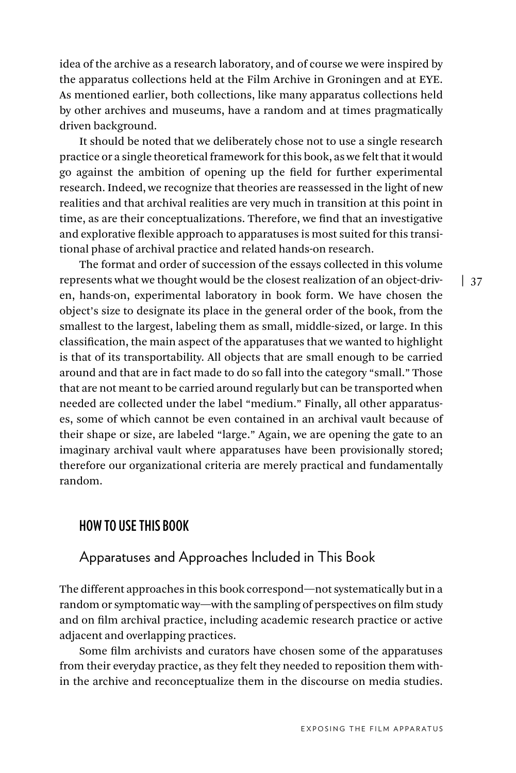idea of the archive as a research laboratory, and of course we were inspired by the apparatus collections held at the Film Archive in Groningen and at EYE. As mentioned earlier, both collections, like many apparatus collections held by other archives and museums, have a random and at times pragmatically driven background.

It should be noted that we deliberately chose not to use a single research practice or a single theoretical framework for this book, as we felt that it would go against the ambition of opening up the field for further experimental research. Indeed, we recognize that theories are reassessed in the light of new realities and that archival realities are very much in transition at this point in time, as are their conceptualizations. Therefore, we find that an investigative and explorative flexible approach to apparatuses is most suited for this transitional phase of archival practice and related hands-on research.

The format and order of succession of the essays collected in this volume represents what we thought would be the closest realization of an object-driven, hands-on, experimental laboratory in book form. We have chosen the object's size to designate its place in the general order of the book, from the smallest to the largest, labeling them as small, middle-sized, or large. In this classification, the main aspect of the apparatuses that we wanted to highlight is that of its transportability. All objects that are small enough to be carried around and that are in fact made to do so fall into the category "small." Those that are not meant to be carried around regularly but can be transported when needed are collected under the label "medium." Finally, all other apparatuses, some of which cannot be even contained in an archival vault because of their shape or size, are labeled "large." Again, we are opening the gate to an imaginary archival vault where apparatuses have been provisionally stored; therefore our organizational criteria are merely practical and fundamentally random.

#### **HOW TO USE THIS BOOK**

#### Apparatuses and Approaches Included in This Book

The different approaches in this book correspond—not systematically but in a random or symptomatic way—with the sampling of perspectives on film study and on film archival practice, including academic research practice or active adjacent and overlapping practices.

Some film archivists and curators have chosen some of the apparatuses from their everyday practice, as they felt they needed to reposition them within the archive and reconceptualize them in the discourse on media studies.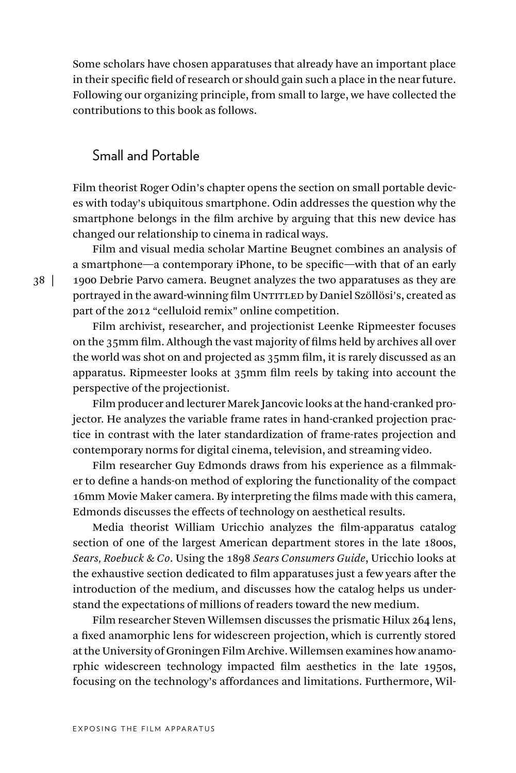Some scholars have chosen apparatuses that already have an important place in their specific field of research or should gain such a place in the near future. Following our organizing principle, from small to large, we have collected the contributions to this book as follows.

#### Small and Portable

Film theorist Roger Odin's chapter opens the section on small portable devices with today's ubiquitous smartphone. Odin addresses the question why the smartphone belongs in the film archive by arguing that this new device has changed our relationship to cinema in radical ways.

Film and visual media scholar Martine Beugnet combines an analysis of a smartphone—a contemporary iPhone, to be specific—with that of an early 1900 Debrie Parvo camera. Beugnet analyzes the two apparatuses as they are portrayed in the award-winning film UNTITLED by Daniel Szöllösi's, created as part of the 2012 "celluloid remix" online competition.

Film archivist, researcher, and projectionist Leenke Ripmeester focuses on the 35mm film. Although the vast majority of films held by archives all over the world was shot on and projected as 35mm film, it is rarely discussed as an apparatus. Ripmeester looks at 35mm film reels by taking into account the perspective of the projectionist.

Film producer and lecturer Marek Jancovic looks at the hand-cranked projector. He analyzes the variable frame rates in hand-cranked projection practice in contrast with the later standardization of frame-rates projection and contemporary norms for digital cinema, television, and streaming video.

Film researcher Guy Edmonds draws from his experience as a filmmaker to define a hands-on method of exploring the functionality of the compact 16mm Movie Maker camera. By interpreting the films made with this camera, Edmonds discusses the effects of technology on aesthetical results.

Media theorist William Uricchio analyzes the film-apparatus catalog section of one of the largest American department stores in the late 1800s, *Sears, Roebuck & Co*. Using the 1898 *Sears Consumers Guide*, Uricchio looks at the exhaustive section dedicated to film apparatuses just a few years after the introduction of the medium, and discusses how the catalog helps us understand the expectations of millions of readers toward the new medium.

Film researcher Steven Willemsen discusses the prismatic Hilux 264 lens, a fixed anamorphic lens for widescreen projection, which is currently stored at the University of Groningen Film Archive. Willemsen examines how anamorphic widescreen technology impacted film aesthetics in the late 1950s, focusing on the technology's affordances and limitations. Furthermore, Wil-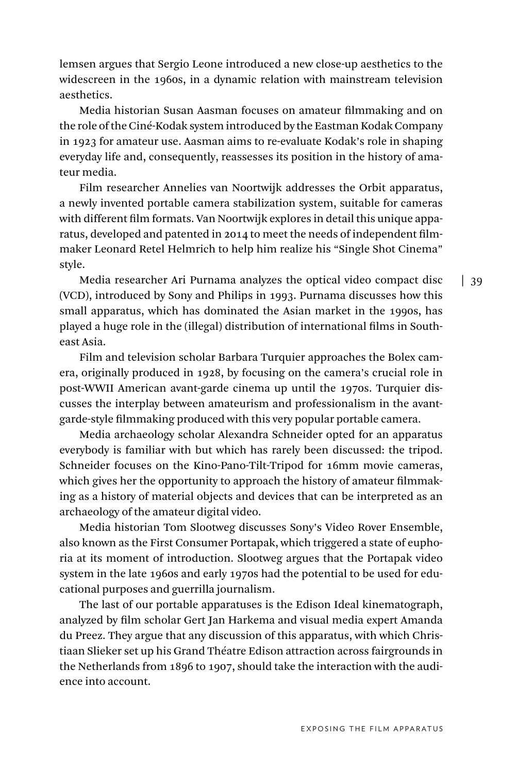lemsen argues that Sergio Leone introduced a new close-up aesthetics to the widescreen in the 1960s, in a dynamic relation with mainstream television aesthetics.

Media historian Susan Aasman focuses on amateur filmmaking and on the role of the Ciné-Kodak system introduced by the Eastman Kodak Company in 1923 for amateur use. Aasman aims to re-evaluate Kodak's role in shaping everyday life and, consequently, reassesses its position in the history of amateur media.

Film researcher Annelies van Noortwijk addresses the Orbit apparatus, a newly invented portable camera stabilization system, suitable for cameras with different film formats. Van Noortwijk explores in detail this unique apparatus, developed and patented in 2014 to meet the needs of independent filmmaker Leonard Retel Helmrich to help him realize his "Single Shot Cinema" style.

Media researcher Ari Purnama analyzes the optical video compact disc (VCD), introduced by Sony and Philips in 1993. Purnama discusses how this small apparatus, which has dominated the Asian market in the 1990s, has played a huge role in the (illegal) distribution of international films in Southeast Asia.

Film and television scholar Barbara Turquier approaches the Bolex camera, originally produced in 1928, by focusing on the camera's crucial role in post-WWII American avant-garde cinema up until the 1970s. Turquier discusses the interplay between amateurism and professionalism in the avantgarde-style filmmaking produced with this very popular portable camera.

Media archaeology scholar Alexandra Schneider opted for an apparatus everybody is familiar with but which has rarely been discussed: the tripod. Schneider focuses on the Kino-Pano-Tilt-Tripod for 16mm movie cameras, which gives her the opportunity to approach the history of amateur filmmaking as a history of material objects and devices that can be interpreted as an archaeology of the amateur digital video.

Media historian Tom Slootweg discusses Sony's Video Rover Ensemble, also known as the First Consumer Portapak, which triggered a state of euphoria at its moment of introduction. Slootweg argues that the Portapak video system in the late 1960s and early 1970s had the potential to be used for educational purposes and guerrilla journalism.

The last of our portable apparatuses is the Edison Ideal kinematograph, analyzed by film scholar Gert Jan Harkema and visual media expert Amanda du Preez. They argue that any discussion of this apparatus, with which Christiaan Slieker set up his Grand Théatre Edison attraction across fairgrounds in the Netherlands from 1896 to 1907, should take the interaction with the audience into account.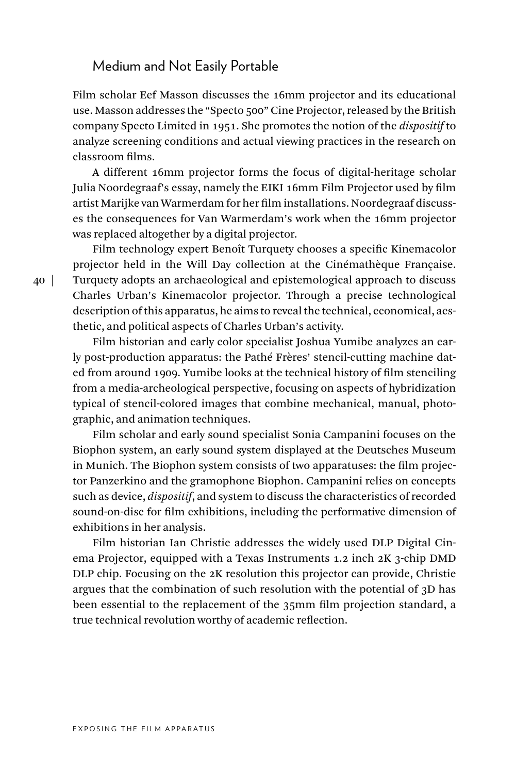#### Medium and Not Easily Portable

Film scholar Eef Masson discusses the 16mm projector and its educational use. Masson addresses the "Specto 500" Cine Projector, released by the British company Specto Limited in 1951. She promotes the notion of the *dispositif* to analyze screening conditions and actual viewing practices in the research on classroom films.

A different 16mm projector forms the focus of digital-heritage scholar Julia Noordegraaf's essay, namely the EIKI 16mm Film Projector used by film artist Marijke van Warmerdam for her film installations. Noordegraaf discusses the consequences for Van Warmerdam's work when the 16mm projector was replaced altogether by a digital projector.

Film technology expert Benoît Turquety chooses a specific Kinemacolor projector held in the Will Day collection at the Cinémathèque Française. Turquety adopts an archaeological and epistemological approach to discuss Charles Urban's Kinemacolor projector. Through a precise technological description of this apparatus, he aims to reveal the technical, economical, aesthetic, and political aspects of Charles Urban's activity.

Film historian and early color specialist Joshua Yumibe analyzes an early post-production apparatus: the Pathé Frères' stencil-cutting machine dated from around 1909. Yumibe looks at the technical history of film stenciling from a media-archeological perspective, focusing on aspects of hybridization typical of stencil-colored images that combine mechanical, manual, photographic, and animation techniques.

Film scholar and early sound specialist Sonia Campanini focuses on the Biophon system, an early sound system displayed at the Deutsches Museum in Munich. The Biophon system consists of two apparatuses: the film projector Panzerkino and the gramophone Biophon. Campanini relies on concepts such as device, *dispositif*, and system to discuss the characteristics of recorded sound-on-disc for film exhibitions, including the performative dimension of exhibitions in her analysis.

Film historian Ian Christie addresses the widely used DLP Digital Cinema Projector, equipped with a Texas Instruments 1.2 inch 2K 3-chip DMD DLP chip. Focusing on the 2K resolution this projector can provide, Christie argues that the combination of such resolution with the potential of 3D has been essential to the replacement of the 35mm film projection standard, a true technical revolution worthy of academic reflection.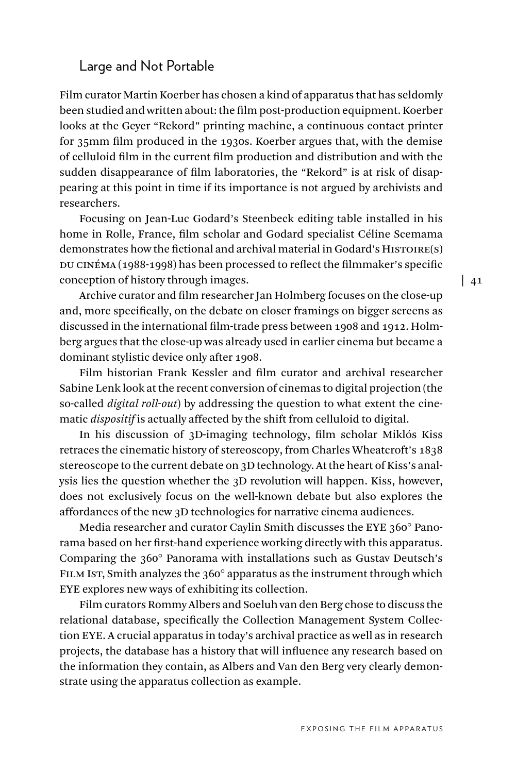#### Large and Not Portable

Film curator Martin Koerber has chosen a kind of apparatus that has seldomly been studied and written about: the film post-production equipment. Koerber looks at the Geyer "Rekord" printing machine, a continuous contact printer for 35mm film produced in the 1930s. Koerber argues that, with the demise of celluloid film in the current film production and distribution and with the sudden disappearance of film laboratories, the "Rekord" is at risk of disappearing at this point in time if its importance is not argued by archivists and researchers.

Focusing on Jean-Luc Godard's Steenbeck editing table installed in his home in Rolle, France, film scholar and Godard specialist Céline Scemama demonstrates how the fictional and archival material in Godard's Histoire(s) DU CINÉMA (1988-1998) has been processed to reflect the filmmaker's specific conception of history through images.

Archive curator and film researcher Jan Holmberg focuses on the close-up and, more specifically, on the debate on closer framings on bigger screens as discussed in the international film-trade press between 1908 and 1912. Holmberg argues that the close-up was already used in earlier cinema but became a dominant stylistic device only after 1908.

Film historian Frank Kessler and film curator and archival researcher Sabine Lenk look at the recent conversion of cinemas to digital projection (the so-called *digital roll-out*) by addressing the question to what extent the cinematic *dispositif* is actually affected by the shift from celluloid to digital.

In his discussion of 3D-imaging technology, film scholar Miklós Kiss retraces the cinematic history of stereoscopy, from Charles Wheatcroft's 1838 stereoscope to the current debate on 3D technology. At the heart of Kiss's analysis lies the question whether the 3D revolution will happen. Kiss, however, does not exclusively focus on the well-known debate but also explores the affordances of the new 3D technologies for narrative cinema audiences.

Media researcher and curator Caylin Smith discusses the EYE 360° Panorama based on her first-hand experience working directly with this apparatus. Comparing the 360° Panorama with installations such as Gustav Deutsch's FILM IST, Smith analyzes the 360° apparatus as the instrument through which EYE explores new ways of exhibiting its collection.

Film curators Rommy Albers and Soeluh van den Berg chose to discuss the relational database, specifically the Collection Management System Collection EYE. A crucial apparatus in today's archival practice as well as in research projects, the database has a history that will influence any research based on the information they contain, as Albers and Van den Berg very clearly demonstrate using the apparatus collection as example.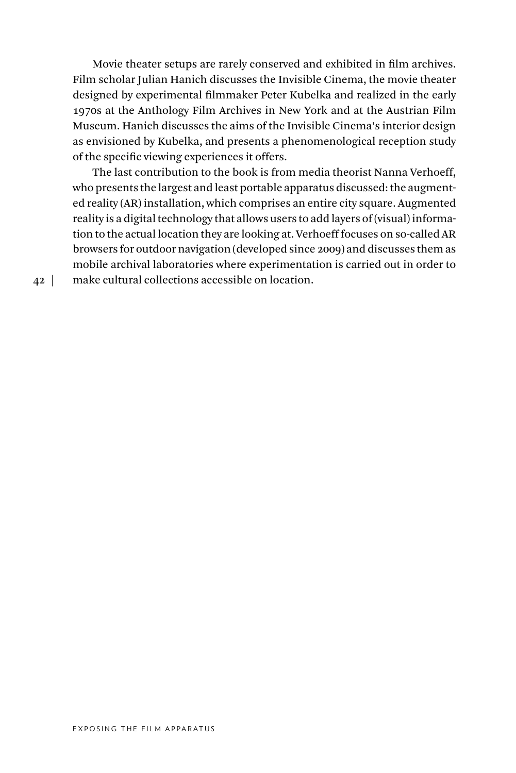Movie theater setups are rarely conserved and exhibited in film archives. Film scholar Julian Hanich discusses the Invisible Cinema, the movie theater designed by experimental filmmaker Peter Kubelka and realized in the early 1970s at the Anthology Film Archives in New York and at the Austrian Film Museum. Hanich discusses the aims of the Invisible Cinema's interior design as envisioned by Kubelka, and presents a phenomenological reception study of the specific viewing experiences it offers.

The last contribution to the book is from media theorist Nanna Verhoeff, who presents the largest and least portable apparatus discussed: the augmented reality (AR) installation, which comprises an entire city square. Augmented reality is a digital technology that allows users to add layers of (visual) information to the actual location they are looking at. Verhoeff focuses on so-called AR browsers for outdoor navigation (developed since 2009) and discusses them as mobile archival laboratories where experimentation is carried out in order to make cultural collections accessible on location.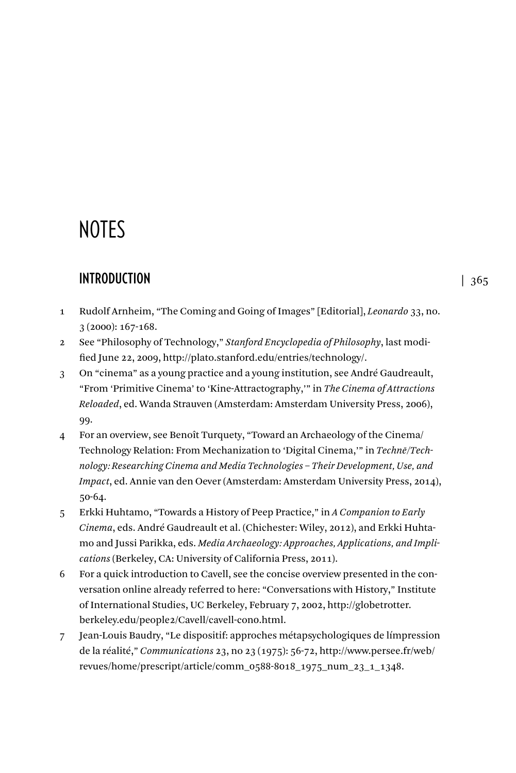# **NOTES**

# **INTRODUCTION**

- 1 Rudolf Arnheim, "The Coming and Going of Images" [Editorial], *Leonardo* 33, no. 3 (2000): 167-168.
- 2 See "Philosophy of Technology," *Stanford Encyclopedia of Philosophy*, last modified June 22, 2009, http://plato.stanford.edu/entries/technology/.
- 3 On "cinema" as a young practice and a young institution, see André Gaudreault, "From 'Primitive Cinema' to 'Kine-Attractography,'" in *The Cinema of Attractions Reloaded*, ed. Wanda Strauven (Amsterdam: Amsterdam University Press, 2006), 99.
- 4 For an overview, see Benoît Turquety, "Toward an Archaeology of the Cinema/ Technology Relation: From Mechanization to 'Digital Cinema,'" in *Technē/Technology: Researching Cinema and Media Technologies – Their Development, Use, and Impact*, ed. Annie van den Oever (Amsterdam: Amsterdam University Press, 2014), 50-64.
- 5 Erkki Huhtamo, "Towards a History of Peep Practice," in *A Companion to Early Cinema*, eds. André Gaudreault et al. (Chichester: Wiley, 2012), and Erkki Huhtamo and Jussi Parikka, eds. *Media Archaeology: Approaches, Applications, and Implications* (Berkeley, CA: University of California Press, 2011).
- 6 For a quick introduction to Cavell, see the concise overview presented in the conversation online already referred to here: "Conversations with History," Institute of International Studies, UC Berkeley, February 7, 2002, http://globetrotter. berkeley.edu/people2/Cavell/cavell-con0.html.
- 7 Jean-Louis Baudry, "Le dispositif: approches métapsychologiques de límpression de la réalité," *Communications* 23, no 23 (1975): 56-72, http://www.persee.fr/web/ revues/home/prescript/article/comm\_0588-8018\_1975\_num\_23\_1\_1348.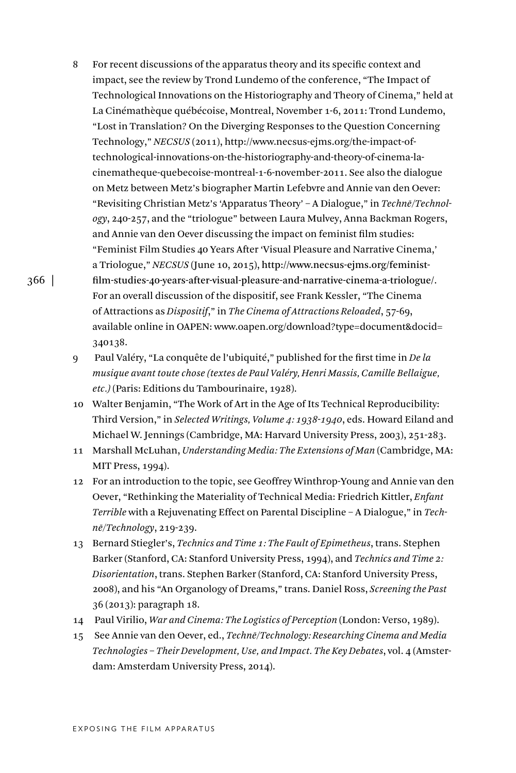- 8 For recent discussions of the apparatus theory and its specific context and impact, see the review by Trond Lundemo of the conference, "The Impact of Technological Innovations on the Historiography and Theory of Cinema," held at La Cinémathèque québécoise, Montreal, November 1-6, 2011: Trond Lundemo, "Lost in Translation? On the Diverging Responses to the Question Concerning Technology," *NECSUS* (2011), http://www.necsus-ejms.org/the-impact-oftechnological-innovations-on-the-historiography-and-theory-of-cinema-lacinematheque-quebecoise-montreal-1-6-november-2011. See also the dialogue on Metz between Metz's biographer Martin Lefebvre and Annie van den Oever: "Revisiting Christian Metz's 'Apparatus Theory' – A Dialogue," in *Technē/Technology*, 240-257, and the "triologue" between Laura Mulvey, Anna Backman Rogers, and Annie van den Oever discussing the impact on feminist film studies: "Feminist Film Studies 40 Years After 'Visual Pleasure and Narrative Cinema,' a Triologue," *NECSUS* (June 10, 2015), http://www.necsus-ejms.org/feministfilm-studies-40-years-after-visual-pleasure-and-narrative-cinema-a-triologue/. For an overall discussion of the dispositif, see Frank Kessler, "The Cinema of Attractions as *Dispositif*," in *The Cinema of Attractions Reloaded*, 57-69, available online in OAPEN: www.oapen.org/download?type=document&docid= 340138.
- 9 Paul Valéry, "La conquête de l'ubiquité," published for the first time in *De la musique avant toute chose (textes de Paul Valéry, Henri Massis, Camille Bellaigue, etc.)* (Paris: Editions du Tambourinaire, 1928).
- 10 Walter Benjamin, "The Work of Art in the Age of Its Technical Reproducibility: Third Version," in *Selected Writings, Volume 4: 1938-1940*, eds. Howard Eiland and Michael W. Jennings (Cambridge, MA: Harvard University Press, 2003), 251-283.
- 11 Marshall McLuhan, *Understanding Media: The Extensions of Man* (Cambridge, MA: MIT Press, 1994).
- 12 For an introduction to the topic, see Geoffrey Winthrop-Young and Annie van den Oever, "Rethinking the Materiality of Technical Media: Friedrich Kittler, *Enfant Terrible* with a Rejuvenating Effect on Parental Discipline – A Dialogue," in *Techne¯/Technology*, 219-239.
- 13 Bernard Stiegler's, *Technics and Time 1: The Fault of Epimetheus*, trans. Stephen Barker (Stanford, CA: Stanford University Press, 1994), and *Technics and Time 2: Disorientation*, trans. Stephen Barker (Stanford, CA: Stanford University Press, 2008), and his "An Organology of Dreams," trans. Daniel Ross, *Screening the Past*  36 (2013): paragraph 18.
- 14 Paul Virilio, *War and Cinema: The Logistics of Perception* (London: Verso, 1989).
- 15 See Annie van den Oever, ed., *Technē/Technology: Researching Cinema and Media Technologies – Their Development, Use, and Impact. The Key Debates*, vol. 4 (Amsterdam: Amsterdam University Press, 2014).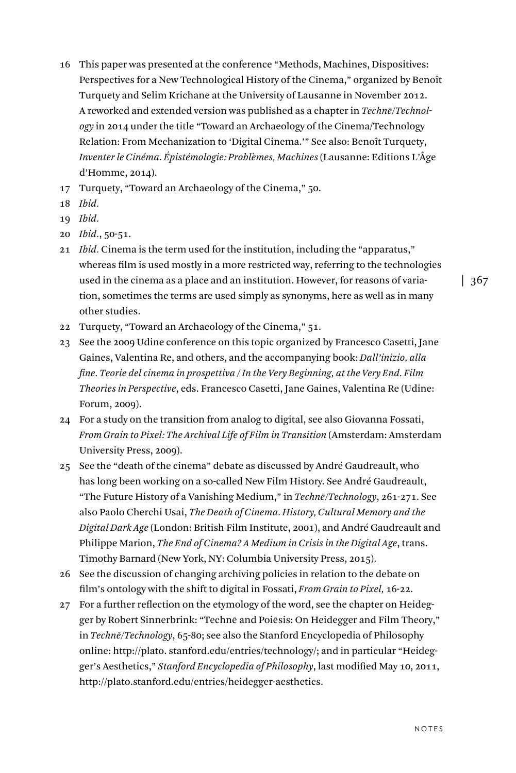- 16 This paper was presented at the conference "Methods, Machines, Dispositives: Perspectives for a New Technological History of the Cinema," organized by Benoît Turquety and Selim Krichane at the University of Lausanne in November 2012. A reworked and extended version was published as a chapter in *Technē*/Technol*ogy* in 2014 under the title "Toward an Archaeology of the Cinema/Technology Relation: From Mechanization to 'Digital Cinema.'" See also: Benoît Turquety, *Inventer le Cinéma. Épistémologie: Problèmes, Machines* (Lausanne: Editions L'Âge d'Homme, 2014).
- 17 Turquety, "Toward an Archaeology of the Cinema," 50.
- 18 *Ibid.*
- 19 *Ibid.*
- 20 *Ibid.*, 50-51.
- 21 *Ibid.* Cinema is the term used for the institution, including the "apparatus," whereas film is used mostly in a more restricted way, referring to the technologies used in the cinema as a place and an institution. However, for reasons of variation, sometimes the terms are used simply as synonyms, here as well as in many other studies.

- 22 Turquety, "Toward an Archaeology of the Cinema," 51.
- 23 See the 2009 Udine conference on this topic organized by Francesco Casetti, Jane Gaines, Valentina Re, and others, and the accompanying book: *Dall'inizio, alla fine. Teorie del cinema in prospettiva / In the Very Beginning, at the Very End. Film Theories in Perspective*, eds. Francesco Casetti, Jane Gaines, Valentina Re (Udine: Forum, 2009).
- 24 For a study on the transition from analog to digital, see also Giovanna Fossati, *From Grain to Pixel: The Archival Life of Film in Transition* (Amsterdam: Amsterdam University Press, 2009).
- 25 See the "death of the cinema" debate as discussed by André Gaudreault, who has long been working on a so-called New Film History. See André Gaudreault, "The Future History of a Vanishing Medium," in *Techne/Technology*, 261-271. See also Paolo Cherchi Usai, *The Death of Cinema. History, Cultural Memory and the Digital Dark Age* (London: British Film Institute, 2001), and André Gaudreault and Philippe Marion, *The End of Cinema? A Medium in Crisis in the Digital Age*, trans. Timothy Barnard (New York, NY: Columbia University Press, 2015).
- 26 See the discussion of changing archiving policies in relation to the debate on film's ontology with the shift to digital in Fossati, *From Grain to Pixel,* 16-22.
- 27 For a further reflection on the etymology of the word, see the chapter on Heidegger by Robert Sinnerbrink: "Techne and Poiesis: On Heidegger and Film Theory," in *Technē/Technology*, 65-80; see also the Stanford Encyclopedia of Philosophy online: http://plato. stanford.edu/entries/technology/; and in particular "Heidegger's Aesthetics," *Stanford Encyclopedia of Philosophy*, last modified May 10, 2011, http://plato.stanford.edu/entries/heidegger-aesthetics.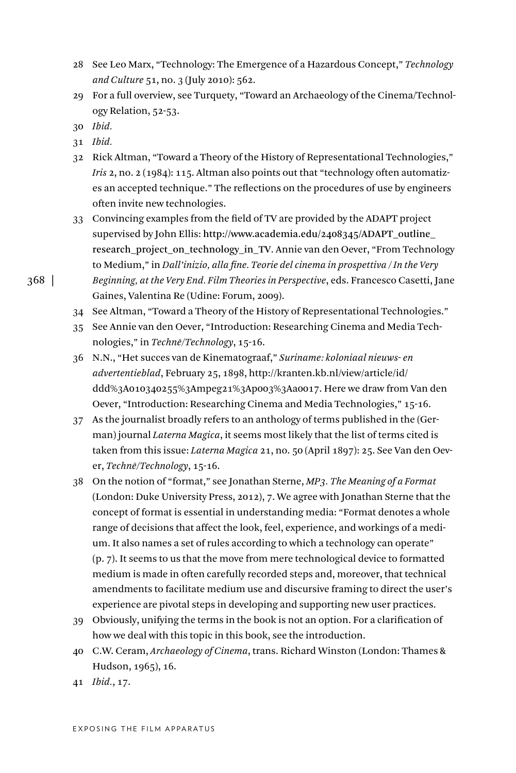- 28 See Leo Marx, "Technology: The Emergence of a Hazardous Concept," *Technology and Culture* 51, no. 3 (July 2010): 562.
- 29 For a full overview, see Turquety, "Toward an Archaeology of the Cinema/Technology Relation, 52-53.
- 30 *Ibid.*
- 31 *Ibid.*
- 32 Rick Altman, "Toward a Theory of the History of Representational Technologies," *Iris* 2, no. 2 (1984): 115. Altman also points out that "technology often automatizes an accepted technique." The reflections on the procedures of use by engineers often invite new technologies.
- 33 Convincing examples from the field of TV are provided by the ADAPT project supervised by John Ellis: http://www.academia.edu/2408345/ADAPT\_outline\_ research\_project\_on\_technology\_in\_TV. Annie van den Oever, "From Technology to Medium," in *Dall'inizio, alla fine. Teorie del cinema in prospettiva / In the Very Beginning, at the Very End. Film Theories in Perspective*, eds. Francesco Casetti, Jane

```
Gaines, Valentina Re (Udine: Forum, 2009).
```
- 34 See Altman, "Toward a Theory of the History of Representational Technologies."
- 35 See Annie van den Oever, "Introduction: Researching Cinema and Media Technologies," in *Technē/Technology*, 15-16.
- 36 N.N., "Het succes van de Kinematograaf," *Suriname: koloniaal nieuws- en advertentieblad*, February 25, 1898, http://kranten.kb.nl/view/article/id/ ddd%3A010340255%3Ampeg21%3Ap003%3Aa0017. Here we draw from Van den Oever, "Introduction: Researching Cinema and Media Technologies," 15-16.
- 37 As the journalist broadly refers to an anthology of terms published in the (German) journal *Laterna Magica*, it seems most likely that the list of terms cited is taken from this issue: *Laterna Magica* 21, no. 50 (April 1897): 25. See Van den Oever, Technē/Technology, 15-16.
- 38 On the notion of "format," see Jonathan Sterne, *MP3. The Meaning of a Format* (London: Duke University Press, 2012), 7. We agree with Jonathan Sterne that the concept of format is essential in understanding media: "Format denotes a whole range of decisions that affect the look, feel, experience, and workings of a medium. It also names a set of rules according to which a technology can operate" (p. 7). It seems to us that the move from mere technological device to formatted medium is made in often carefully recorded steps and, moreover, that technical amendments to facilitate medium use and discursive framing to direct the user's experience are pivotal steps in developing and supporting new user practices.
- 39 Obviously, unifying the terms in the book is not an option. For a clarification of how we deal with this topic in this book, see the introduction.
- 40 C.W. Ceram, *Archaeology of Cinema*, trans. Richard Winston (London: Thames & Hudson, 1965), 16.
- 41 *Ibid.*, 17.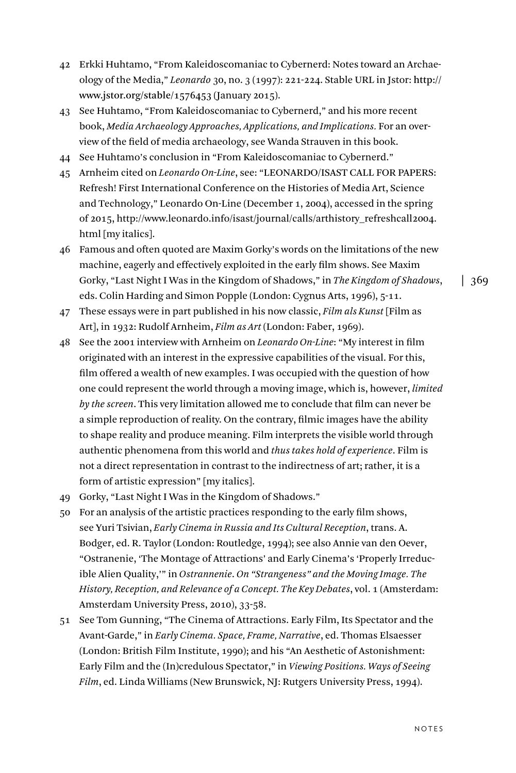- 42 Erkki Huhtamo, "From Kaleidoscomaniac to Cybernerd: Notes toward an Archaeology of the Media," *Leonardo* 30, no. 3 (1997): 221-224. Stable URL in Jstor: http:// www.jstor.org/stable/1576453 (January 2015).
- 43 See Huhtamo, "From Kaleidoscomaniac to Cybernerd," and his more recent book, *Media Archaeology Approaches, Applications, and Implications.* For an overview of the field of media archaeology, see Wanda Strauven in this book.
- 44 See Huhtamo's conclusion in "From Kaleidoscomaniac to Cybernerd."
- 45 Arnheim cited on *Leonardo On-Line*, see: "LEONARDO/ISAST CALL FOR PAPERS: Refresh! First International Conference on the Histories of Media Art, Science and Technology," Leonardo On-Line (December 1, 2004), accessed in the spring of 2015, http://www.leonardo.info/isast/journal/calls/arthistory\_refreshcall2004. html [my italics].
- 46 Famous and often quoted are Maxim Gorky's words on the limitations of the new machine, eagerly and effectively exploited in the early film shows. See Maxim Gorky, "Last Night I Was in the Kingdom of Shadows," in *The Kingdom of Shadows*, eds. Colin Harding and Simon Popple (London: Cygnus Arts, 1996), 5-11.
- 47 These essays were in part published in his now classic, *Film als Kunst* [Film as Art], in 1932: Rudolf Arnheim, *Film as Art* (London: Faber, 1969).
- 48 See the 2001 interview with Arnheim on *Leonardo On-Line*: "My interest in film originated with an interest in the expressive capabilities of the visual. For this, film offered a wealth of new examples. I was occupied with the question of how one could represent the world through a moving image, which is, however, *limited by the screen*. This very limitation allowed me to conclude that film can never be a simple reproduction of reality. On the contrary, filmic images have the ability to shape reality and produce meaning. Film interprets the visible world through authentic phenomena from this world and *thus takes hold of experience*. Film is not a direct representation in contrast to the indirectness of art; rather, it is a form of artistic expression" [my italics].
- 49 Gorky, "Last Night I Was in the Kingdom of Shadows."
- 50 For an analysis of the artistic practices responding to the early film shows, see Yuri Tsivian, *Early Cinema in Russia and Its Cultural Reception*, trans. A. Bodger, ed. R. Taylor (London: Routledge, 1994); see also Annie van den Oever, "Ostranenie, 'The Montage of Attractions' and Early Cinema's 'Properly Irreducible Alien Quality,'" in *Ostrannenie*. *On "Strangeness" and the Moving Image. The History, Reception, and Relevance of a Concept. The Key Debates*, vol. 1 (Amsterdam: Amsterdam University Press, 2010), 33-58.
- 51 See Tom Gunning, "The Cinema of Attractions. Early Film, Its Spectator and the Avant-Garde," in *Early Cinema. Space, Frame, Narrative*, ed. Thomas Elsaesser (London: British Film Institute, 1990); and his "An Aesthetic of Astonishment: Early Film and the (In)credulous Spectator," in *Viewing Positions. Ways of Seeing Film*, ed. Linda Williams (New Brunswick, NJ: Rutgers University Press, 1994).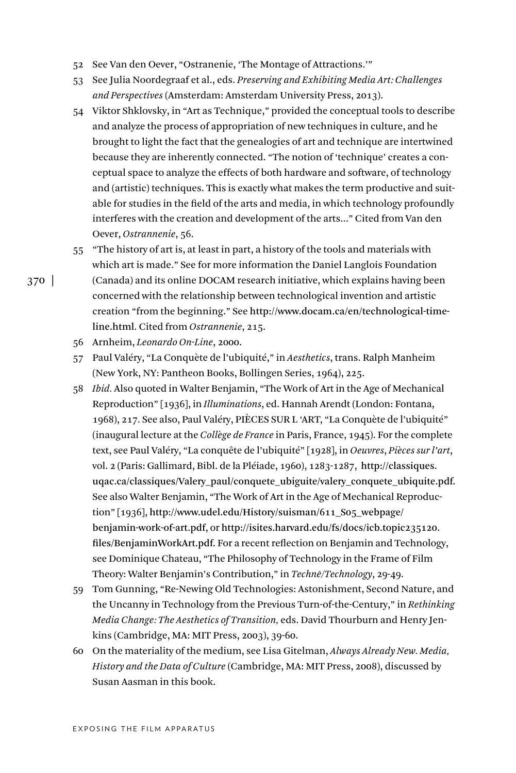- 52 See Van den Oever, "Ostranenie, 'The Montage of Attractions.'"
- 53 See Julia Noordegraaf et al., eds. *Preserving and Exhibiting Media Art: Challenges and Perspectives* (Amsterdam: Amsterdam University Press, 2013).
- 54 Viktor Shklovsky, in "Art as Technique," provided the conceptual tools to describe and analyze the process of appropriation of new techniques in culture, and he brought to light the fact that the genealogies of art and technique are intertwined because they are inherently connected. "The notion of 'technique' creates a conceptual space to analyze the effects of both hardware and software, of technology and (artistic) techniques. This is exactly what makes the term productive and suitable for studies in the field of the arts and media, in which technology profoundly interferes with the creation and development of the arts..." Cited from Van den Oever, *Ostrannenie*, 56.

55 "The history of art is, at least in part, a history of the tools and materials with which art is made." See for more information the Daniel Langlois Foundation (Canada) and its online DOCAM research initiative, which explains having been concerned with the relationship between technological invention and artistic creation "from the beginning." See http://www.docam.ca/en/technological-timeline.html. Cited from *Ostrannenie*, 215.

- 56 Arnheim, *Leonardo On-Line*, 2000.
- 57 Paul Valéry, "La Conquète de l'ubiquité," in *Aesthetics*, trans. Ralph Manheim (New York, NY: Pantheon Books, Bollingen Series, 1964), 225.
- 58 *Ibid.* Also quoted in Walter Benjamin, "The Work of Art in the Age of Mechanical Reproduction" [1936], in *Illuminations*, ed. Hannah Arendt (London: Fontana, 1968), 217. See also, Paul Valéry, PIÈCES SUR L 'ART, "La Conquète de l'ubiquité" (inaugural lecture at the *Collège de France* in Paris, France, 1945). For the complete text, see Paul Valéry, "La conquête de l'ubiquité" [1928], in *Oeuvres*, *Pièces sur l'art*, vol. 2 (Paris: Gallimard, Bibl. de la Pléiade, 1960), 1283-1287, http://classiques. uqac.ca/classiques/Valery\_paul/conquete\_ubiguite/valery\_conquete\_ubiquite.pdf. See also Walter Benjamin, "The Work of Art in the Age of Mechanical Reproduction" [1936], http://www.udel.edu/History/suisman/611\_S05\_webpage/ benjamin-work-of-art.pdf, or http://isites.harvard.edu/fs/docs/icb.topic235120. files/BenjaminWorkArt.pdf. For a recent reflection on Benjamin and Technology, see Dominique Chateau, "The Philosophy of Technology in the Frame of Film Theory: Walter Benjamin's Contribution," in *Techne/Technology*, 29-49.
- 59 Tom Gunning, "Re-Newing Old Technologies: Astonishment, Second Nature, and the Uncanny in Technology from the Previous Turn-of-the-Century," in *Rethinking Media Change: The Aesthetics of Transition,* eds. David Thourburn and Henry Jenkins (Cambridge, MA: MIT Press, 2003), 39-60.
- 60 On the materiality of the medium, see Lisa Gitelman, *Always Already New. Media, History and the Data of Culture* (Cambridge, MA: MIT Press, 2008), discussed by Susan Aasman in this book.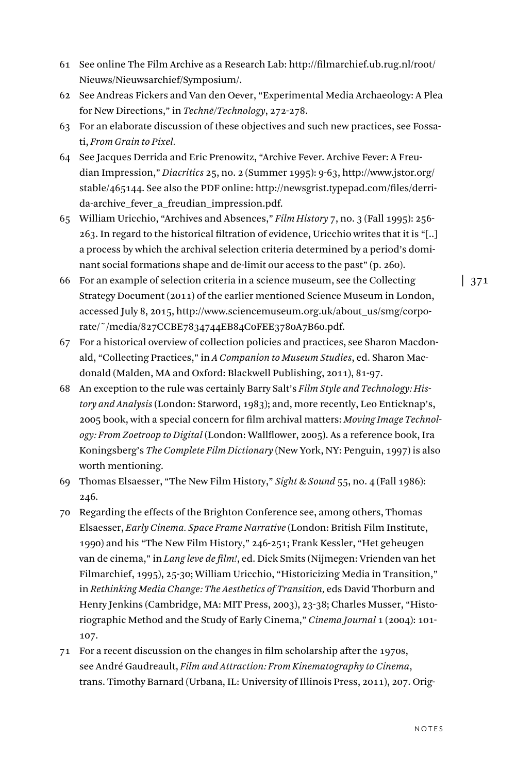- 61 See online The Film Archive as a Research Lab: http://filmarchief.ub.rug.nl/root/ Nieuws/Nieuwsarchief/Symposium/.
- 62 See Andreas Fickers and Van den Oever, "Experimental Media Archaeology: A Plea for New Directions," in *Techne*/Technology, 272-278.
- 63 For an elaborate discussion of these objectives and such new practices, see Fossati, *From Grain to Pixel.*
- 64 See Jacques Derrida and Eric Prenowitz, "Archive Fever. Archive Fever: A Freudian Impression," *Diacritics* 25, no. 2 (Summer 1995): 9-63, http://www.jstor.org/ stable/465144. See also the PDF online: http://newsgrist.typepad.com/files/derrida-archive\_fever\_a\_freudian\_impression.pdf.
- 65 William Uricchio, "Archives and Absences," *Film History* 7, no. 3 (Fall 1995): 256- 263. In regard to the historical filtration of evidence, Uricchio writes that it is "[..] a process by which the archival selection criteria determined by a period's dominant social formations shape and de-limit our access to the past" (p. 260).
- 66 For an example of selection criteria in a science museum, see the Collecting Strategy Document (2011) of the earlier mentioned Science Museum in London, accessed July 8, 2015, http://www.sciencemuseum.org.uk/about\_us/smg/corporate/~/media/827CCBE7834744EB84C0FEE3780A7B60.pdf.
- 67 For a historical overview of collection policies and practices, see Sharon Macdonald, "Collecting Practices," in *A Companion to Museum Studies*, ed. Sharon Macdonald (Malden, MA and Oxford: Blackwell Publishing, 2011), 81-97.
- 68 An exception to the rule was certainly Barry Salt's *Film Style and Technology: History and Analysis* (London: Starword, 1983); and, more recently, Leo Enticknap's, 2005 book, with a special concern for film archival matters: *Moving Image Technology: From Zoetroop to Digital* (London: Wallflower, 2005). As a reference book, Ira Koningsberg's *The Complete Film Dictionary* (New York, NY: Penguin, 1997) is also worth mentioning.
- 69 Thomas Elsaesser, "The New Film History," *Sight & Sound* 55, no. 4 (Fall 1986): 246.
- 70 Regarding the effects of the Brighton Conference see, among others, Thomas Elsaesser, *Early Cinema. Space Frame Narrative* (London: British Film Institute, 1990) and his "The New Film History," 246-251; Frank Kessler, "Het geheugen van de cinema," in *Lang leve de film!*, ed. Dick Smits (Nijmegen: Vrienden van het Filmarchief, 1995), 25-30; William Uricchio, "Historicizing Media in Transition," in *Rethinking Media Change: The Aesthetics of Transition,* eds David Thorburn and Henry Jenkins (Cambridge, MA: MIT Press, 2003), 23-38; Charles Musser, "Historiographic Method and the Study of Early Cinema," *Cinema Journal* 1 (2004): 101- 107.
- 71 For a recent discussion on the changes in film scholarship after the 1970s, see André Gaudreault, *Film and Attraction: From Kinematography to Cinema*, trans. Timothy Barnard (Urbana, IL: University of Illinois Press, 2011), 207. Orig-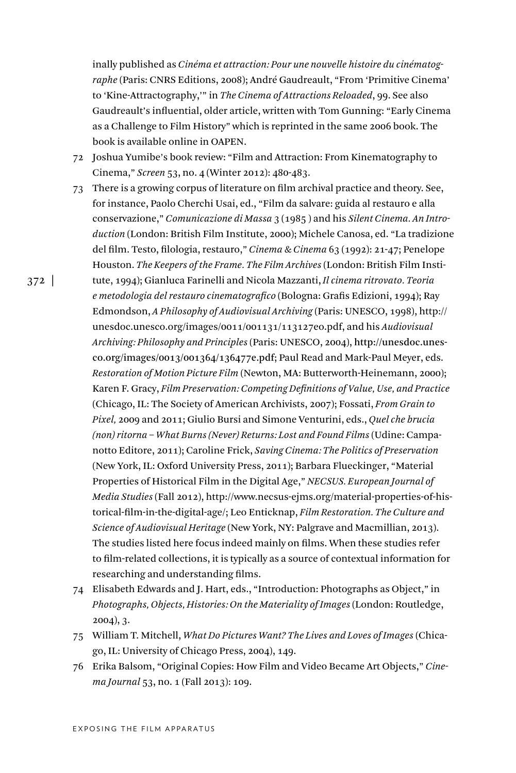inally published as *Cinéma et attraction: Pour une nouvelle histoire du cinématographe* (Paris: CNRS Editions, 2008); André Gaudreault, "From 'Primitive Cinema' to 'Kine-Attractography,'" in *The Cinema of Attractions Reloaded*, 99. See also Gaudreault's influential, older article, written with Tom Gunning: "Early Cinema as a Challenge to Film History" which is reprinted in the same 2006 book. The book is available online in OAPEN.

- 72 Joshua Yumibe's book review: "Film and Attraction: From Kinematography to Cinema," *Screen* 53, no. 4 (Winter 2012): 480-483.
- 73 There is a growing corpus of literature on film archival practice and theory. See, for instance, Paolo Cherchi Usai, ed., "Film da salvare: guida al restauro e alla conservazione," *Comunicazione di Massa* 3 (1985 ) and his *Silent Cinema. An Introduction* (London: British Film Institute, 2000); Michele Canosa, ed. "La tradizione del film. Testo, filologia, restauro," *Cinema & Cinema* 63 (1992): 21-47; Penelope Houston. *The Keepers of the Frame. The Film Archives* (London: British Film Institute, 1994); Gianluca Farinelli and Nicola Mazzanti, *Il cinema ritrovato. Teoria e metodologia del restauro cinematografico* (Bologna: Grafis Edizioni, 1994); Ray Edmondson, *A Philosophy of Audiovisual Archiving* (Paris: UNESCO, 1998), http:// unesdoc.unesco.org/images/0011/001131/113127eo.pdf, and his *Audiovisual Archiving: Philosophy and Principles* (Paris: UNESCO, 2004), http://unesdoc.unesco.org/images/0013/001364/136477e.pdf; Paul Read and Mark-Paul Meyer, eds. *Restoration of Motion Picture Film* (Newton, MA: Butterworth-Heinemann, 2000); Karen F. Gracy, *Film Preservation: Competing Definitions of Value, Use, and Practice* (Chicago, IL: The Society of American Archivists, 2007); Fossati, *From Grain to Pixel,* 2009 and 2011; Giulio Bursi and Simone Venturini, eds., *Quel che brucia (non) ritorna – What Burns (Never) Returns: Lost and Found Films* (Udine: Campanotto Editore, 2011); Caroline Frick, *Saving Cinema: The Politics of Preservation* (New York, IL: Oxford University Press, 2011); Barbara Flueckinger, "Material Properties of Historical Film in the Digital Age," *NECSUS. European Journal of Media Studies* (Fall 2012), http://www.necsus-ejms.org/material-properties-of-historical-film-in-the-digital-age/; Leo Enticknap, *Film Restoration. The Culture and Science of Audiovisual Heritage* (New York, NY: Palgrave and Macmillian, 2013). The studies listed here focus indeed mainly on films. When these studies refer to film-related collections, it is typically as a source of contextual information for researching and understanding films.
- 74 Elisabeth Edwards and J. Hart, eds., "Introduction: Photographs as Object," in *Photographs, Objects, Histories: On the Materiality of Images* (London: Routledge, 2004), 3.
- 75 William T. Mitchell, *What Do Pictures Want? The Lives and Loves of Images* (Chicago, IL: University of Chicago Press, 2004), 149.
- 76 Erika Balsom, "Original Copies: How Film and Video Became Art Objects," *Cinema Journal* 53, no. 1 (Fall 2013): 109.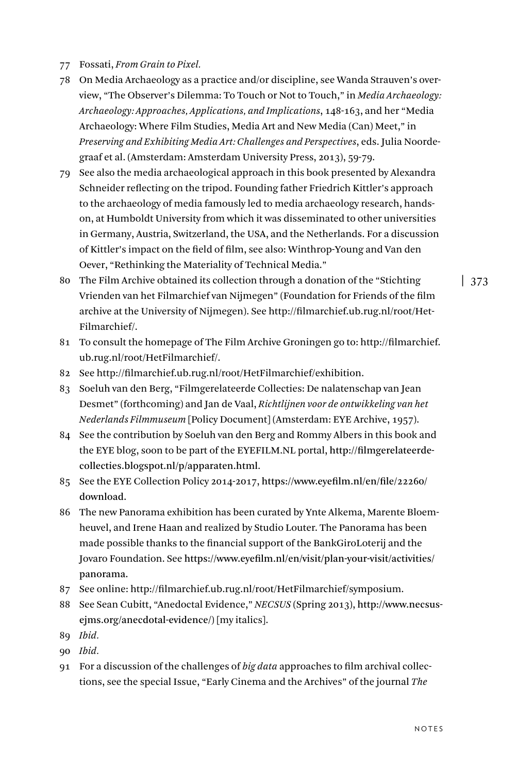- 77 Fossati, *From Grain to Pixel.*
- 78 On Media Archaeology as a practice and/or discipline, see Wanda Strauven's overview, "The Observer's Dilemma: To Touch or Not to Touch," in *Media Archaeology: Archaeology: Approaches, Applications, and Implications*, 148-163, and her "Media Archaeology: Where Film Studies, Media Art and New Media (Can) Meet," in *Preserving and Exhibiting Media Art: Challenges and Perspectives*, eds. Julia Noordegraaf et al. (Amsterdam: Amsterdam University Press, 2013), 59-79.
- 79 See also the media archaeological approach in this book presented by Alexandra Schneider reflecting on the tripod. Founding father Friedrich Kittler's approach to the archaeology of media famously led to media archaeology research, handson, at Humboldt University from which it was disseminated to other universities in Germany, Austria, Switzerland, the USA, and the Netherlands. For a discussion of Kittler's impact on the field of film, see also: Winthrop-Young and Van den Oever, "Rethinking the Materiality of Technical Media."
- 80 The Film Archive obtained its collection through a donation of the "Stichting Vrienden van het Filmarchief van Nijmegen" (Foundation for Friends of the film archive at the University of Nijmegen). See http://filmarchief.ub.rug.nl/root/Het-Filmarchief/.
- 81 To consult the homepage of The Film Archive Groningen go to: http://filmarchief. ub.rug.nl/root/HetFilmarchief/.
- 82 See http://filmarchief.ub.rug.nl/root/HetFilmarchief/exhibition.
- 83 Soeluh van den Berg, "Filmgerelateerde Collecties: De nalatenschap van Jean Desmet" (forthcoming) and Jan de Vaal, *Richtlijnen voor de ontwikkeling van het Nederlands Filmmuseum* [Policy Document] (Amsterdam: EYE Archive, 1957).
- 84 See the contribution by Soeluh van den Berg and Rommy Albers in this book and the EYE blog, soon to be part of the EYEFILM.NL portal, http://filmgerelateerdecollecties.blogspot.nl/p/apparaten.html.
- 85 See the EYE Collection Policy 2014-2017, https://www.eyefilm.nl/en/file/22260/ download.
- 86 The new Panorama exhibition has been curated by Ynte Alkema, Marente Bloemheuvel, and Irene Haan and realized by Studio Louter. The Panorama has been made possible thanks to the financial support of the BankGiroLoterij and the Jovaro Foundation. See https://www.eyefilm.nl/en/visit/plan-your-visit/activities/ panorama.
- 87 See online: http://filmarchief.ub.rug.nl/root/HetFilmarchief/symposium.
- 88 See Sean Cubitt, "Anedoctal Evidence," *NECSUS* (Spring 2013), http://www.necsusejms.org/anecdotal-evidence/) [my italics].
- 89 *Ibid.*
- 90 *Ibid.*
- 91 For a discussion of the challenges of *big data* approaches to film archival collections, see the special Issue, "Early Cinema and the Archives" of the journal *The*